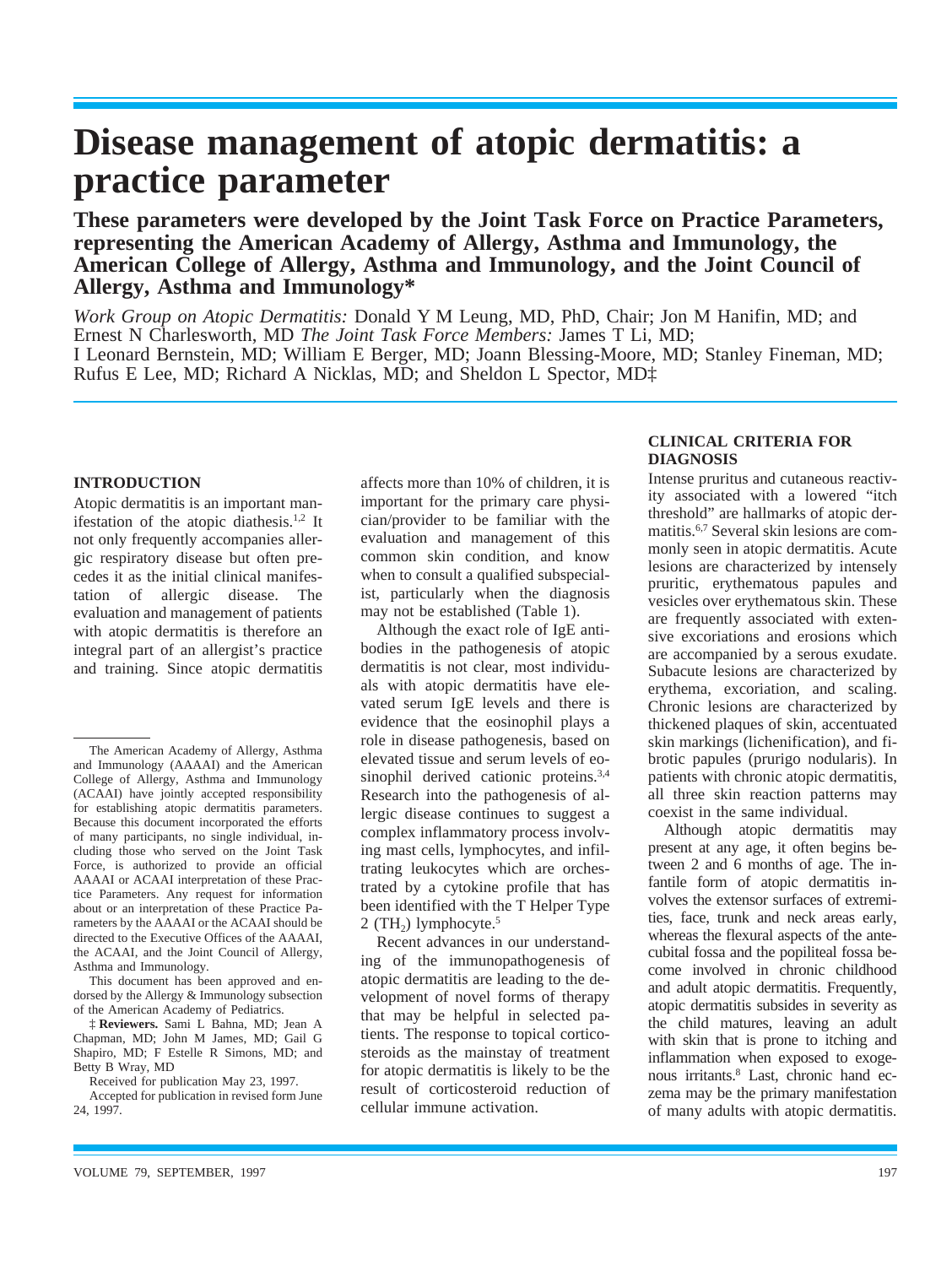# **Disease management of atopic dermatitis: a practice parameter**

**These parameters were developed by the Joint Task Force on Practice Parameters, representing the American Academy of Allergy, Asthma and Immunology, the American College of Allergy, Asthma and Immunology, and the Joint Council of Allergy, Asthma and Immunology\***

*Work Group on Atopic Dermatitis:* Donald Y M Leung, MD, PhD, Chair; Jon M Hanifin, MD; and Ernest N Charlesworth, MD *The Joint Task Force Members:* James T Li, MD; I Leonard Bernstein, MD; William E Berger, MD; Joann Blessing-Moore, MD; Stanley Fineman, MD; Rufus E Lee, MD; Richard A Nicklas, MD; and Sheldon L Spector, MD‡

#### **INTRODUCTION**

Atopic dermatitis is an important manifestation of the atopic diathesis.<sup>1,2</sup> It not only frequently accompanies allergic respiratory disease but often precedes it as the initial clinical manifestation of allergic disease. The evaluation and management of patients with atopic dermatitis is therefore an integral part of an allergist's practice and training. Since atopic dermatitis

This document has been approved and endorsed by the Allergy & Immunology subsection of the American Academy of Pediatrics.

‡ **Reviewers.** Sami L Bahna, MD; Jean A Chapman, MD; John M James, MD; Gail G Shapiro, MD; F Estelle R Simons, MD; and Betty B Wray, MD

Accepted for publication in revised form June 24, 1997.

affects more than 10% of children, it is important for the primary care physician/provider to be familiar with the evaluation and management of this common skin condition, and know when to consult a qualified subspecialist, particularly when the diagnosis may not be established (Table 1).

Although the exact role of IgE antibodies in the pathogenesis of atopic dermatitis is not clear, most individuals with atopic dermatitis have elevated serum IgE levels and there is evidence that the eosinophil plays a role in disease pathogenesis, based on elevated tissue and serum levels of eosinophil derived cationic proteins.<sup>3,4</sup> Research into the pathogenesis of allergic disease continues to suggest a complex inflammatory process involving mast cells, lymphocytes, and infiltrating leukocytes which are orchestrated by a cytokine profile that has been identified with the T Helper Type 2 (TH<sub>2</sub>) lymphocyte.<sup>5</sup>

Recent advances in our understanding of the immunopathogenesis of atopic dermatitis are leading to the development of novel forms of therapy that may be helpful in selected patients. The response to topical corticosteroids as the mainstay of treatment for atopic dermatitis is likely to be the result of corticosteroid reduction of cellular immune activation.

#### **CLINICAL CRITERIA FOR DIAGNOSIS**

Intense pruritus and cutaneous reactivity associated with a lowered "itch threshold" are hallmarks of atopic dermatitis.6,7 Several skin lesions are commonly seen in atopic dermatitis. Acute lesions are characterized by intensely pruritic, erythematous papules and vesicles over erythematous skin. These are frequently associated with extensive excoriations and erosions which are accompanied by a serous exudate. Subacute lesions are characterized by erythema, excoriation, and scaling. Chronic lesions are characterized by thickened plaques of skin, accentuated skin markings (lichenification), and fibrotic papules (prurigo nodularis). In patients with chronic atopic dermatitis, all three skin reaction patterns may coexist in the same individual.

Although atopic dermatitis may present at any age, it often begins between 2 and 6 months of age. The infantile form of atopic dermatitis involves the extensor surfaces of extremities, face, trunk and neck areas early, whereas the flexural aspects of the antecubital fossa and the popiliteal fossa become involved in chronic childhood and adult atopic dermatitis. Frequently, atopic dermatitis subsides in severity as the child matures, leaving an adult with skin that is prone to itching and inflammation when exposed to exogenous irritants.8 Last, chronic hand eczema may be the primary manifestation of many adults with atopic dermatitis.

The American Academy of Allergy, Asthma and Immunology (AAAAI) and the American College of Allergy, Asthma and Immunology (ACAAI) have jointly accepted responsibility for establishing atopic dermatitis parameters. Because this document incorporated the efforts of many participants, no single individual, including those who served on the Joint Task Force, is authorized to provide an official AAAAI or ACAAI interpretation of these Practice Parameters. Any request for information about or an interpretation of these Practice Parameters by the AAAAI or the ACAAI should be directed to the Executive Offices of the AAAAI, the ACAAI, and the Joint Council of Allergy, Asthma and Immunology.

Received for publication May 23, 1997.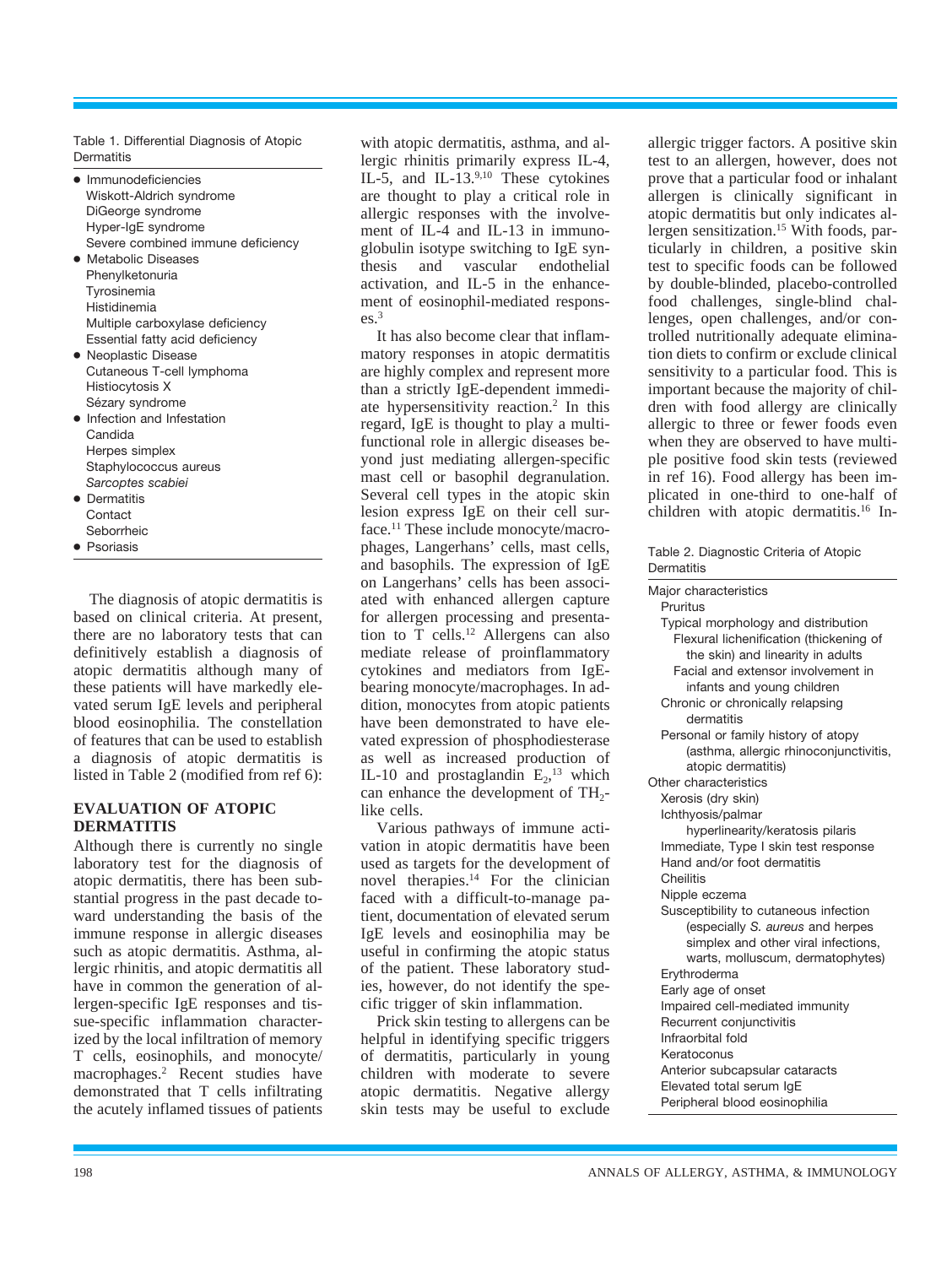Table 1. Differential Diagnosis of Atopic **Dermatitis** 

| • Immunodeficiencies                |
|-------------------------------------|
| Wiskott-Aldrich syndrome            |
| DiGeorge syndrome                   |
| Hyper-IgE syndrome                  |
| Severe combined immune deficiency   |
| • Metabolic Diseases                |
| Phenylketonuria                     |
| Tyrosinemia                         |
| Histidinemia                        |
| Multiple carboxylase deficiency     |
| Essential fatty acid deficiency     |
| • Neoplastic Disease                |
| Cutaneous T-cell lymphoma           |
| Histiocytosis X                     |
| Sézary syndrome                     |
| $\bullet$ Infection and Infestation |
| Candida                             |
| Herpes simplex                      |
| Staphylococcus aureus               |
| Sarcoptes scabiei                   |
| • Dermatitis                        |
| Contact                             |
| Seborrheic                          |

The diagnosis of atopic dermatitis is based on clinical criteria. At present, there are no laboratory tests that can definitively establish a diagnosis of atopic dermatitis although many of these patients will have markedly elevated serum IgE levels and peripheral blood eosinophilia. The constellation of features that can be used to establish a diagnosis of atopic dermatitis is listed in Table 2 (modified from ref 6):

## **EVALUATION OF ATOPIC DERMATITIS**

Although there is currently no single laboratory test for the diagnosis of atopic dermatitis, there has been substantial progress in the past decade toward understanding the basis of the immune response in allergic diseases such as atopic dermatitis. Asthma, allergic rhinitis, and atopic dermatitis all have in common the generation of allergen-specific IgE responses and tissue-specific inflammation characterized by the local infiltration of memory T cells, eosinophils, and monocyte/ macrophages.2 Recent studies have demonstrated that T cells infiltrating the acutely inflamed tissues of patients

with atopic dermatitis, asthma, and allergic rhinitis primarily express IL-4, IL-5, and IL-13.9,10 These cytokines are thought to play a critical role in allergic responses with the involvement of IL-4 and IL-13 in immunoglobulin isotype switching to IgE synthesis and vascular endothelial activation, and IL-5 in the enhancement of eosinophil-mediated responses.3

It has also become clear that inflammatory responses in atopic dermatitis are highly complex and represent more than a strictly IgE-dependent immediate hypersensitivity reaction.2 In this regard, IgE is thought to play a multifunctional role in allergic diseases beyond just mediating allergen-specific mast cell or basophil degranulation. Several cell types in the atopic skin lesion express IgE on their cell surface.11 These include monocyte/macro-● Psoriasis <u>December 2008</u> Phages, Langerhans' cells, mast cells, Table 2. Diagnostic Criteria of Atopic Criteria of Atopic and basophils. The expression of IgE on Langerhans' cells has been associated with enhanced allergen capture for allergen processing and presentation to  $T$  cells.<sup>12</sup> Allergens can also mediate release of proinflammatory cytokines and mediators from IgEbearing monocyte/macrophages. In addition, monocytes from atopic patients have been demonstrated to have elevated expression of phosphodiesterase as well as increased production of IL-10 and prostaglandin  $E_2$ ,<sup>13</sup> which can enhance the development of  $TH_2$ like cells.

Various pathways of immune activation in atopic dermatitis have been used as targets for the development of novel therapies.14 For the clinician faced with a difficult-to-manage patient, documentation of elevated serum IgE levels and eosinophilia may be useful in confirming the atopic status of the patient. These laboratory studies, however, do not identify the specific trigger of skin inflammation.

Prick skin testing to allergens can be helpful in identifying specific triggers of dermatitis, particularly in young children with moderate to severe atopic dermatitis. Negative allergy skin tests may be useful to exclude allergic trigger factors. A positive skin test to an allergen, however, does not prove that a particular food or inhalant allergen is clinically significant in atopic dermatitis but only indicates allergen sensitization.15 With foods, particularly in children, a positive skin test to specific foods can be followed by double-blinded, placebo-controlled food challenges, single-blind challenges, open challenges, and/or controlled nutritionally adequate elimination diets to confirm or exclude clinical sensitivity to a particular food. This is important because the majority of children with food allergy are clinically allergic to three or fewer foods even when they are observed to have multiple positive food skin tests (reviewed in ref 16). Food allergy has been implicated in one-third to one-half of children with atopic dermatitis.<sup>16</sup> In-

**Dermatitis** 

Major characteristics Pruritus Typical morphology and distribution Flexural lichenification (thickening of the skin) and linearity in adults Facial and extensor involvement in infants and young children Chronic or chronically relapsing dermatitis Personal or family history of atopy (asthma, allergic rhinoconjunctivitis, atopic dermatitis) Other characteristics Xerosis (dry skin) Ichthyosis/palmar hyperlinearity/keratosis pilaris Immediate, Type I skin test response Hand and/or foot dermatitis **Cheilitis** Nipple eczema Susceptibility to cutaneous infection (especially *S. aureus* and herpes simplex and other viral infections, warts, molluscum, dermatophytes) Erythroderma Early age of onset Impaired cell-mediated immunity Recurrent conjunctivitis Infraorbital fold Keratoconus Anterior subcapsular cataracts Elevated total serum IgE Peripheral blood eosinophilia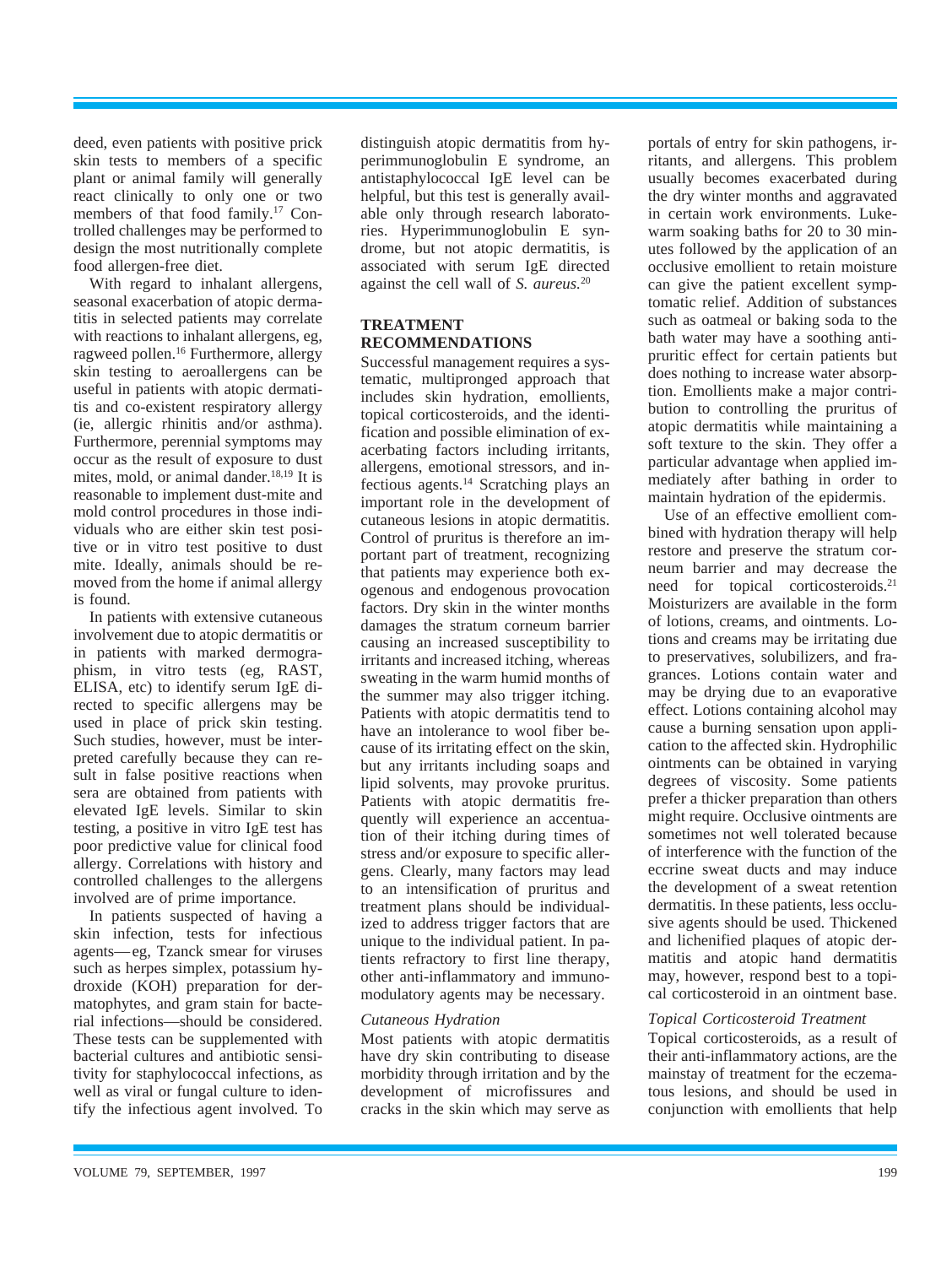deed, even patients with positive prick skin tests to members of a specific plant or animal family will generally react clinically to only one or two members of that food family.17 Controlled challenges may be performed to design the most nutritionally complete food allergen-free diet.

With regard to inhalant allergens, seasonal exacerbation of atopic dermatitis in selected patients may correlate with reactions to inhalant allergens, eg, ragweed pollen.16 Furthermore, allergy skin testing to aeroallergens can be useful in patients with atopic dermatitis and co-existent respiratory allergy (ie, allergic rhinitis and/or asthma). Furthermore, perennial symptoms may occur as the result of exposure to dust mites, mold, or animal dander.<sup>18,19</sup> It is reasonable to implement dust-mite and mold control procedures in those individuals who are either skin test positive or in vitro test positive to dust mite. Ideally, animals should be removed from the home if animal allergy is found.

In patients with extensive cutaneous involvement due to atopic dermatitis or in patients with marked dermographism, in vitro tests (eg, RAST, ELISA, etc) to identify serum IgE directed to specific allergens may be used in place of prick skin testing. Such studies, however, must be interpreted carefully because they can result in false positive reactions when sera are obtained from patients with elevated IgE levels. Similar to skin testing, a positive in vitro IgE test has poor predictive value for clinical food allergy. Correlations with history and controlled challenges to the allergens involved are of prime importance.

In patients suspected of having a skin infection, tests for infectious agents—eg, Tzanck smear for viruses such as herpes simplex, potassium hydroxide (KOH) preparation for dermatophytes, and gram stain for bacterial infections—should be considered. These tests can be supplemented with bacterial cultures and antibiotic sensitivity for staphylococcal infections, as well as viral or fungal culture to identify the infectious agent involved. To

distinguish atopic dermatitis from hyperimmunoglobulin E syndrome, an antistaphylococcal IgE level can be helpful, but this test is generally available only through research laboratories. Hyperimmunoglobulin E syndrome, but not atopic dermatitis, is associated with serum IgE directed against the cell wall of *S. aureus.*<sup>20</sup>

# **TREATMENT RECOMMENDATIONS**

Successful management requires a systematic, multipronged approach that includes skin hydration, emollients, topical corticosteroids, and the identification and possible elimination of exacerbating factors including irritants, allergens, emotional stressors, and infectious agents.14 Scratching plays an important role in the development of cutaneous lesions in atopic dermatitis. Control of pruritus is therefore an important part of treatment, recognizing that patients may experience both exogenous and endogenous provocation factors. Dry skin in the winter months damages the stratum corneum barrier causing an increased susceptibility to irritants and increased itching, whereas sweating in the warm humid months of the summer may also trigger itching. Patients with atopic dermatitis tend to have an intolerance to wool fiber because of its irritating effect on the skin, but any irritants including soaps and lipid solvents, may provoke pruritus. Patients with atopic dermatitis frequently will experience an accentuation of their itching during times of stress and/or exposure to specific allergens. Clearly, many factors may lead to an intensification of pruritus and treatment plans should be individualized to address trigger factors that are unique to the individual patient. In patients refractory to first line therapy, other anti-inflammatory and immunomodulatory agents may be necessary.

# *Cutaneous Hydration*

Most patients with atopic dermatitis have dry skin contributing to disease morbidity through irritation and by the development of microfissures and cracks in the skin which may serve as portals of entry for skin pathogens, irritants, and allergens. This problem usually becomes exacerbated during the dry winter months and aggravated in certain work environments. Lukewarm soaking baths for 20 to 30 minutes followed by the application of an occlusive emollient to retain moisture can give the patient excellent symptomatic relief. Addition of substances such as oatmeal or baking soda to the bath water may have a soothing antipruritic effect for certain patients but does nothing to increase water absorption. Emollients make a major contribution to controlling the pruritus of atopic dermatitis while maintaining a soft texture to the skin. They offer a particular advantage when applied immediately after bathing in order to maintain hydration of the epidermis.

Use of an effective emollient combined with hydration therapy will help restore and preserve the stratum corneum barrier and may decrease the need for topical corticosteroids.<sup>21</sup> Moisturizers are available in the form of lotions, creams, and ointments. Lotions and creams may be irritating due to preservatives, solubilizers, and fragrances. Lotions contain water and may be drying due to an evaporative effect. Lotions containing alcohol may cause a burning sensation upon application to the affected skin. Hydrophilic ointments can be obtained in varying degrees of viscosity. Some patients prefer a thicker preparation than others might require. Occlusive ointments are sometimes not well tolerated because of interference with the function of the eccrine sweat ducts and may induce the development of a sweat retention dermatitis. In these patients, less occlusive agents should be used. Thickened and lichenified plaques of atopic dermatitis and atopic hand dermatitis may, however, respond best to a topical corticosteroid in an ointment base.

# *Topical Corticosteroid Treatment*

Topical corticosteroids, as a result of their anti-inflammatory actions, are the mainstay of treatment for the eczematous lesions, and should be used in conjunction with emollients that help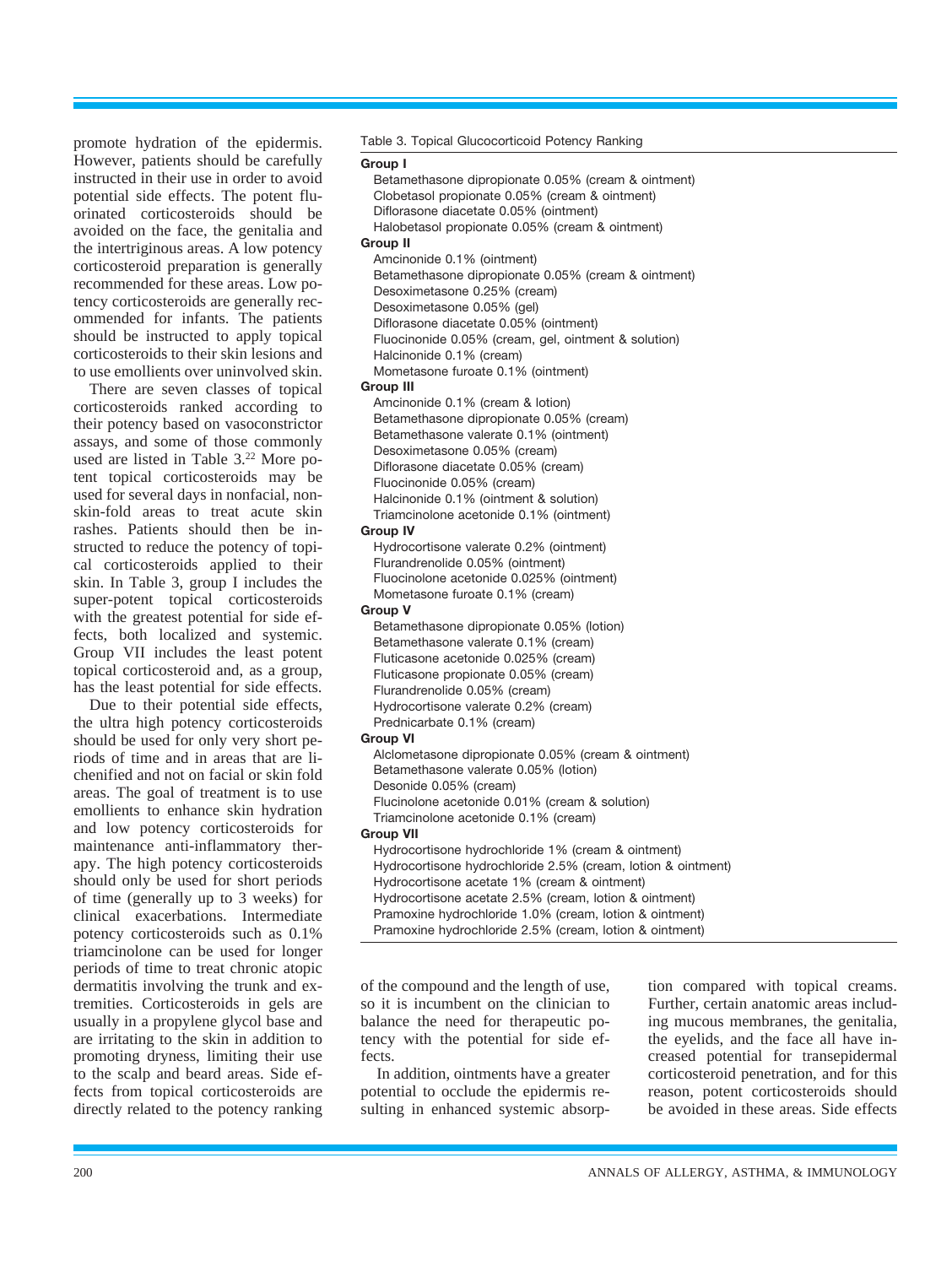promote hydration of the epidermis. However, patients should be carefully instructed in their use in order to avoid potential side effects. The potent fluorinated corticosteroids should be avoided on the face, the genitalia and the intertriginous areas. A low potency corticosteroid preparation is generally recommended for these areas. Low potency corticosteroids are generally recommended for infants. The patients should be instructed to apply topical corticosteroids to their skin lesions and to use emollients over uninvolved skin.

There are seven classes of topical corticosteroids ranked according to their potency based on vasoconstrictor assays, and some of those commonly used are listed in Table 3.<sup>22</sup> More potent topical corticosteroids may be used for several days in nonfacial, nonskin-fold areas to treat acute skin rashes. Patients should then be instructed to reduce the potency of topical corticosteroids applied to their skin. In Table 3, group I includes the super-potent topical corticosteroids with the greatest potential for side effects, both localized and systemic. Group VII includes the least potent topical corticosteroid and, as a group, has the least potential for side effects.

Due to their potential side effects, the ultra high potency corticosteroids should be used for only very short periods of time and in areas that are lichenified and not on facial or skin fold areas. The goal of treatment is to use emollients to enhance skin hydration and low potency corticosteroids for maintenance anti-inflammatory therapy. The high potency corticosteroids should only be used for short periods of time (generally up to 3 weeks) for clinical exacerbations. Intermediate potency corticosteroids such as 0.1% triamcinolone can be used for longer periods of time to treat chronic atopic dermatitis involving the trunk and extremities. Corticosteroids in gels are usually in a propylene glycol base and are irritating to the skin in addition to promoting dryness, limiting their use to the scalp and beard areas. Side effects from topical corticosteroids are directly related to the potency ranking Table 3. Topical Glucocorticoid Potency Ranking

# **Group I**

|                  | Betamethasone dipropionate 0.05% (cream & ointment)                    |  |
|------------------|------------------------------------------------------------------------|--|
|                  | Clobetasol propionate 0.05% (cream & ointment)                         |  |
|                  | Diflorasone diacetate 0.05% (ointment)                                 |  |
|                  | Halobetasol propionate 0.05% (cream & ointment)                        |  |
|                  | Group II                                                               |  |
|                  | Amcinonide 0.1% (ointment)                                             |  |
|                  | Betamethasone dipropionate 0.05% (cream & ointment)                    |  |
|                  | Desoximetasone 0.25% (cream)                                           |  |
|                  | Desoximetasone 0.05% (gel)<br>Diflorasone diacetate 0.05% (ointment)   |  |
|                  | Fluocinonide 0.05% (cream, gel, ointment & solution)                   |  |
|                  | Halcinonide 0.1% (cream)                                               |  |
|                  | Mometasone furoate 0.1% (ointment)                                     |  |
| Group III        |                                                                        |  |
|                  | Amcinonide 0.1% (cream & lotion)                                       |  |
|                  | Betamethasone dipropionate 0.05% (cream)                               |  |
|                  | Betamethasone valerate 0.1% (ointment)                                 |  |
|                  | Desoximetasone 0.05% (cream)                                           |  |
|                  | Diflorasone diacetate 0.05% (cream)                                    |  |
|                  | Fluocinonide 0.05% (cream)                                             |  |
|                  | Halcinonide 0.1% (ointment & solution)                                 |  |
|                  | Triamcinolone acetonide 0.1% (ointment)                                |  |
| Group IV         |                                                                        |  |
|                  | Hydrocortisone valerate 0.2% (ointment)                                |  |
|                  | Flurandrenolide 0.05% (ointment)                                       |  |
|                  | Fluocinolone acetonide 0.025% (ointment)                               |  |
|                  | Mometasone furoate 0.1% (cream)                                        |  |
|                  | <b>Group V</b>                                                         |  |
|                  | Betamethasone dipropionate 0.05% (lotion)                              |  |
|                  | Betamethasone valerate 0.1% (cream)                                    |  |
|                  | Fluticasone acetonide 0.025% (cream)                                   |  |
|                  | Fluticasone propionate 0.05% (cream)                                   |  |
|                  | Flurandrenolide 0.05% (cream)                                          |  |
|                  | Hydrocortisone valerate 0.2% (cream)                                   |  |
|                  | Prednicarbate 0.1% (cream)                                             |  |
|                  | <b>Group VI</b><br>Alclometasone dipropionate 0.05% (cream & ointment) |  |
|                  | Betamethasone valerate 0.05% (lotion)                                  |  |
|                  | Desonide 0.05% (cream)                                                 |  |
|                  | Flucinolone acetonide 0.01% (cream & solution)                         |  |
|                  | Triamcinolone acetonide 0.1% (cream)                                   |  |
| <b>Group VII</b> |                                                                        |  |
|                  | Hydrocortisone hydrochloride 1% (cream & ointment)                     |  |
|                  | Hydrocortisone hydrochloride 2.5% (cream, lotion & ointment)           |  |
|                  | Hydrocortisone acetate 1% (cream & ointment)                           |  |
|                  | Hydrocortisone acetate 2.5% (cream, lotion & ointment)                 |  |
|                  | Pramoxine hydrochloride 1.0% (cream, lotion & ointment)                |  |
|                  | Pramoxine hydrochloride 2.5% (cream, lotion & ointment)                |  |
|                  |                                                                        |  |

of the compound and the length of use, so it is incumbent on the clinician to balance the need for therapeutic potency with the potential for side effects.

In addition, ointments have a greater potential to occlude the epidermis resulting in enhanced systemic absorption compared with topical creams. Further, certain anatomic areas including mucous membranes, the genitalia, the eyelids, and the face all have increased potential for transepidermal corticosteroid penetration, and for this reason, potent corticosteroids should be avoided in these areas. Side effects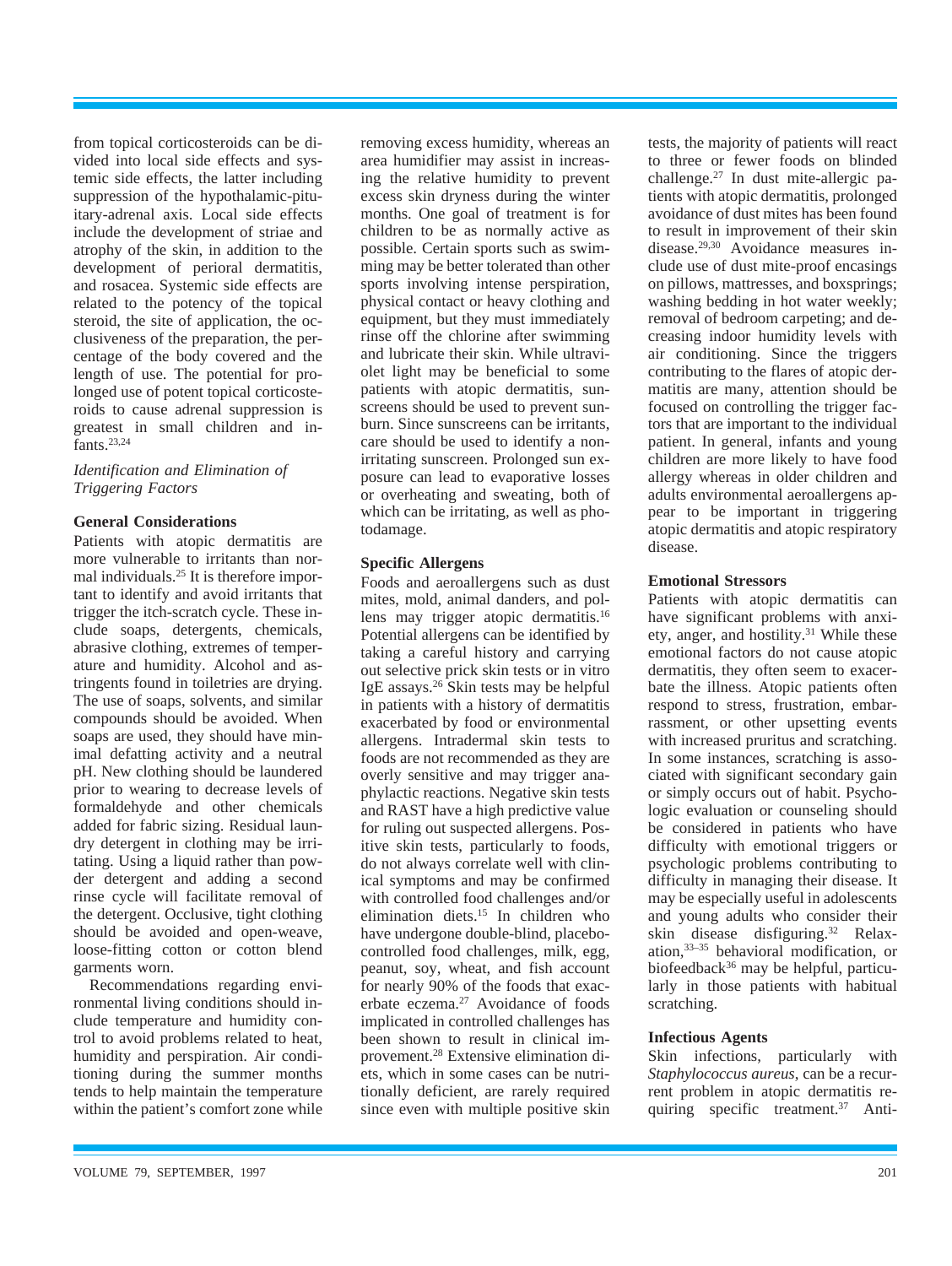from topical corticosteroids can be divided into local side effects and systemic side effects, the latter including suppression of the hypothalamic-pituitary-adrenal axis. Local side effects include the development of striae and atrophy of the skin, in addition to the development of perioral dermatitis, and rosacea. Systemic side effects are related to the potency of the topical steroid, the site of application, the occlusiveness of the preparation, the percentage of the body covered and the length of use. The potential for prolonged use of potent topical corticosteroids to cause adrenal suppression is greatest in small children and infants $23,24$ 

## *Identification and Elimination of Triggering Factors*

# **General Considerations**

Patients with atopic dermatitis are more vulnerable to irritants than normal individuals.25 It is therefore important to identify and avoid irritants that trigger the itch-scratch cycle. These include soaps, detergents, chemicals, abrasive clothing, extremes of temperature and humidity. Alcohol and astringents found in toiletries are drying. The use of soaps, solvents, and similar compounds should be avoided. When soaps are used, they should have minimal defatting activity and a neutral pH. New clothing should be laundered prior to wearing to decrease levels of formaldehyde and other chemicals added for fabric sizing. Residual laundry detergent in clothing may be irritating. Using a liquid rather than powder detergent and adding a second rinse cycle will facilitate removal of the detergent. Occlusive, tight clothing should be avoided and open-weave, loose-fitting cotton or cotton blend garments worn.

Recommendations regarding environmental living conditions should include temperature and humidity control to avoid problems related to heat, humidity and perspiration. Air conditioning during the summer months tends to help maintain the temperature within the patient's comfort zone while removing excess humidity, whereas an area humidifier may assist in increasing the relative humidity to prevent excess skin dryness during the winter months. One goal of treatment is for children to be as normally active as possible. Certain sports such as swimming may be better tolerated than other sports involving intense perspiration, physical contact or heavy clothing and equipment, but they must immediately rinse off the chlorine after swimming and lubricate their skin. While ultraviolet light may be beneficial to some patients with atopic dermatitis, sunscreens should be used to prevent sunburn. Since sunscreens can be irritants, care should be used to identify a nonirritating sunscreen. Prolonged sun exposure can lead to evaporative losses or overheating and sweating, both of which can be irritating, as well as photodamage.

# **Specific Allergens**

Foods and aeroallergens such as dust mites, mold, animal danders, and pollens may trigger atopic dermatitis.16 Potential allergens can be identified by taking a careful history and carrying out selective prick skin tests or in vitro IgE assays.26 Skin tests may be helpful in patients with a history of dermatitis exacerbated by food or environmental allergens. Intradermal skin tests to foods are not recommended as they are overly sensitive and may trigger anaphylactic reactions. Negative skin tests and RAST have a high predictive value for ruling out suspected allergens. Positive skin tests, particularly to foods, do not always correlate well with clinical symptoms and may be confirmed with controlled food challenges and/or elimination diets.15 In children who have undergone double-blind, placebocontrolled food challenges, milk, egg, peanut, soy, wheat, and fish account for nearly 90% of the foods that exacerbate eczema.<sup>27</sup> Avoidance of foods implicated in controlled challenges has been shown to result in clinical improvement.28 Extensive elimination diets, which in some cases can be nutritionally deficient, are rarely required since even with multiple positive skin

tests, the majority of patients will react to three or fewer foods on blinded challenge.27 In dust mite-allergic patients with atopic dermatitis, prolonged avoidance of dust mites has been found to result in improvement of their skin disease.29,30 Avoidance measures include use of dust mite-proof encasings on pillows, mattresses, and boxsprings; washing bedding in hot water weekly; removal of bedroom carpeting; and decreasing indoor humidity levels with air conditioning. Since the triggers contributing to the flares of atopic dermatitis are many, attention should be focused on controlling the trigger factors that are important to the individual patient. In general, infants and young children are more likely to have food allergy whereas in older children and adults environmental aeroallergens appear to be important in triggering atopic dermatitis and atopic respiratory disease.

# **Emotional Stressors**

Patients with atopic dermatitis can have significant problems with anxiety, anger, and hostility.31 While these emotional factors do not cause atopic dermatitis, they often seem to exacerbate the illness. Atopic patients often respond to stress, frustration, embarrassment, or other upsetting events with increased pruritus and scratching. In some instances, scratching is associated with significant secondary gain or simply occurs out of habit. Psychologic evaluation or counseling should be considered in patients who have difficulty with emotional triggers or psychologic problems contributing to difficulty in managing their disease. It may be especially useful in adolescents and young adults who consider their skin disease disfiguring.32 Relaxation,33–35 behavioral modification, or biofeedback<sup>36</sup> may be helpful, particularly in those patients with habitual scratching.

# **Infectious Agents**

Skin infections, particularly with *Staphylococcus aureus*, can be a recurrent problem in atopic dermatitis requiring specific treatment.37 Anti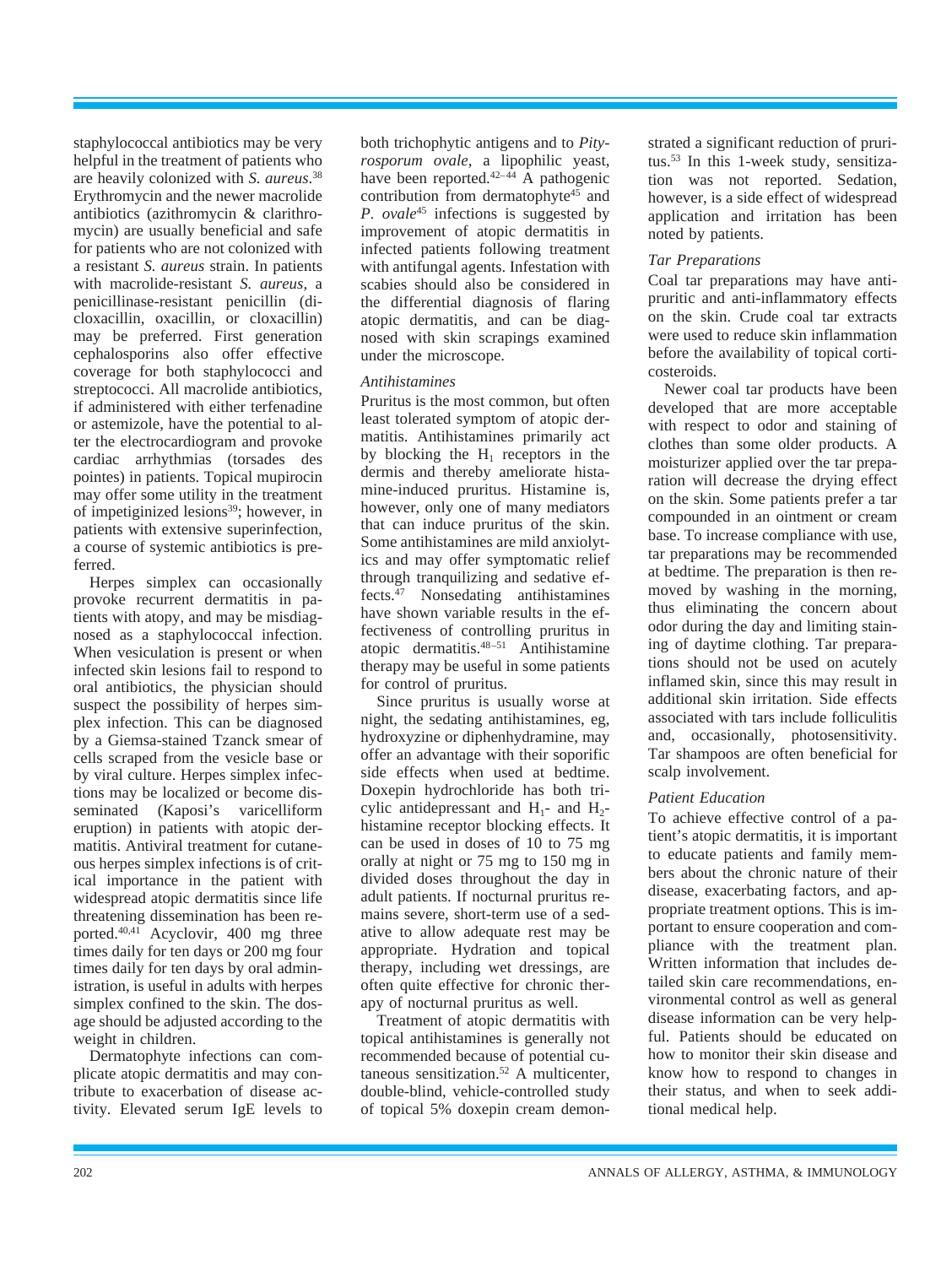staphylococcal antibiotics may be very helpful in the treatment of patients who are heavily colonized with *S. aureus*. 38 Erythromycin and the newer macrolide antibiotics (azithromycin & clarithromycin) are usually beneficial and safe for patients who are not colonized with a resistant *S. aureus* strain. In patients with macrolide-resistant *S. aureus*, a penicillinase-resistant penicillin (dicloxacillin, oxacillin, or cloxacillin) may be preferred. First generation cephalosporins also offer effective coverage for both staphylococci and streptococci. All macrolide antibiotics, if administered with either terfenadine or astemizole, have the potential to alter the electrocardiogram and provoke cardiac arrhythmias (torsades des pointes) in patients. Topical mupirocin may offer some utility in the treatment of impetiginized lesions<sup>39</sup>; however, in patients with extensive superinfection, a course of systemic antibiotics is preferred.

Herpes simplex can occasionally provoke recurrent dermatitis in patients with atopy, and may be misdiagnosed as a staphylococcal infection. When vesiculation is present or when infected skin lesions fail to respond to oral antibiotics, the physician should suspect the possibility of herpes simplex infection. This can be diagnosed by a Giemsa-stained Tzanck smear of cells scraped from the vesicle base or by viral culture. Herpes simplex infections may be localized or become disseminated (Kaposi's varicelliform eruption) in patients with atopic dermatitis. Antiviral treatment for cutaneous herpes simplex infections is of critical importance in the patient with widespread atopic dermatitis since life threatening dissemination has been reported.40,41 Acyclovir, 400 mg three times daily for ten days or 200 mg four times daily for ten days by oral administration, is useful in adults with herpes simplex confined to the skin. The dosage should be adjusted according to the weight in children.

Dermatophyte infections can complicate atopic dermatitis and may contribute to exacerbation of disease activity. Elevated serum IgE levels to

both trichophytic antigens and to *Pityrosporum ovale*, a lipophilic yeast, have been reported.<sup>42-44</sup> A pathogenic contribution from dermatophyte $45$  and *P. ovale*<sup>45</sup> infections is suggested by improvement of atopic dermatitis in infected patients following treatment with antifungal agents. Infestation with scabies should also be considered in the differential diagnosis of flaring atopic dermatitis, and can be diagnosed with skin scrapings examined under the microscope.

## *Antihistamines*

Pruritus is the most common, but often least tolerated symptom of atopic dermatitis. Antihistamines primarily act by blocking the  $H_1$  receptors in the dermis and thereby ameliorate histamine-induced pruritus. Histamine is, however, only one of many mediators that can induce pruritus of the skin. Some antihistamines are mild anxiolytics and may offer symptomatic relief through tranquilizing and sedative effects.47 Nonsedating antihistamines have shown variable results in the effectiveness of controlling pruritus in atopic dermatitis.48–51 Antihistamine therapy may be useful in some patients for control of pruritus.

Since pruritus is usually worse at night, the sedating antihistamines, eg, hydroxyzine or diphenhydramine, may offer an advantage with their soporific side effects when used at bedtime. Doxepin hydrochloride has both tricylic antidepressant and  $H_1$ - and  $H_2$ histamine receptor blocking effects. It can be used in doses of 10 to 75 mg orally at night or 75 mg to 150 mg in divided doses throughout the day in adult patients. If nocturnal pruritus remains severe, short-term use of a sedative to allow adequate rest may be appropriate. Hydration and topical therapy, including wet dressings, are often quite effective for chronic therapy of nocturnal pruritus as well.

Treatment of atopic dermatitis with topical antihistamines is generally not recommended because of potential cutaneous sensitization.52 A multicenter, double-blind, vehicle-controlled study of topical 5% doxepin cream demonstrated a significant reduction of pruritus.53 In this 1-week study, sensitization was not reported. Sedation, however, is a side effect of widespread application and irritation has been noted by patients.

# *Tar Preparations*

Coal tar preparations may have antipruritic and anti-inflammatory effects on the skin. Crude coal tar extracts were used to reduce skin inflammation before the availability of topical corticosteroids.

Newer coal tar products have been developed that are more acceptable with respect to odor and staining of clothes than some older products. A moisturizer applied over the tar preparation will decrease the drying effect on the skin. Some patients prefer a tar compounded in an ointment or cream base. To increase compliance with use, tar preparations may be recommended at bedtime. The preparation is then removed by washing in the morning, thus eliminating the concern about odor during the day and limiting staining of daytime clothing. Tar preparations should not be used on acutely inflamed skin, since this may result in additional skin irritation. Side effects associated with tars include folliculitis and, occasionally, photosensitivity. Tar shampoos are often beneficial for scalp involvement.

# *Patient Education*

To achieve effective control of a patient's atopic dermatitis, it is important to educate patients and family members about the chronic nature of their disease, exacerbating factors, and appropriate treatment options. This is important to ensure cooperation and compliance with the treatment plan. Written information that includes detailed skin care recommendations, environmental control as well as general disease information can be very helpful. Patients should be educated on how to monitor their skin disease and know how to respond to changes in their status, and when to seek additional medical help.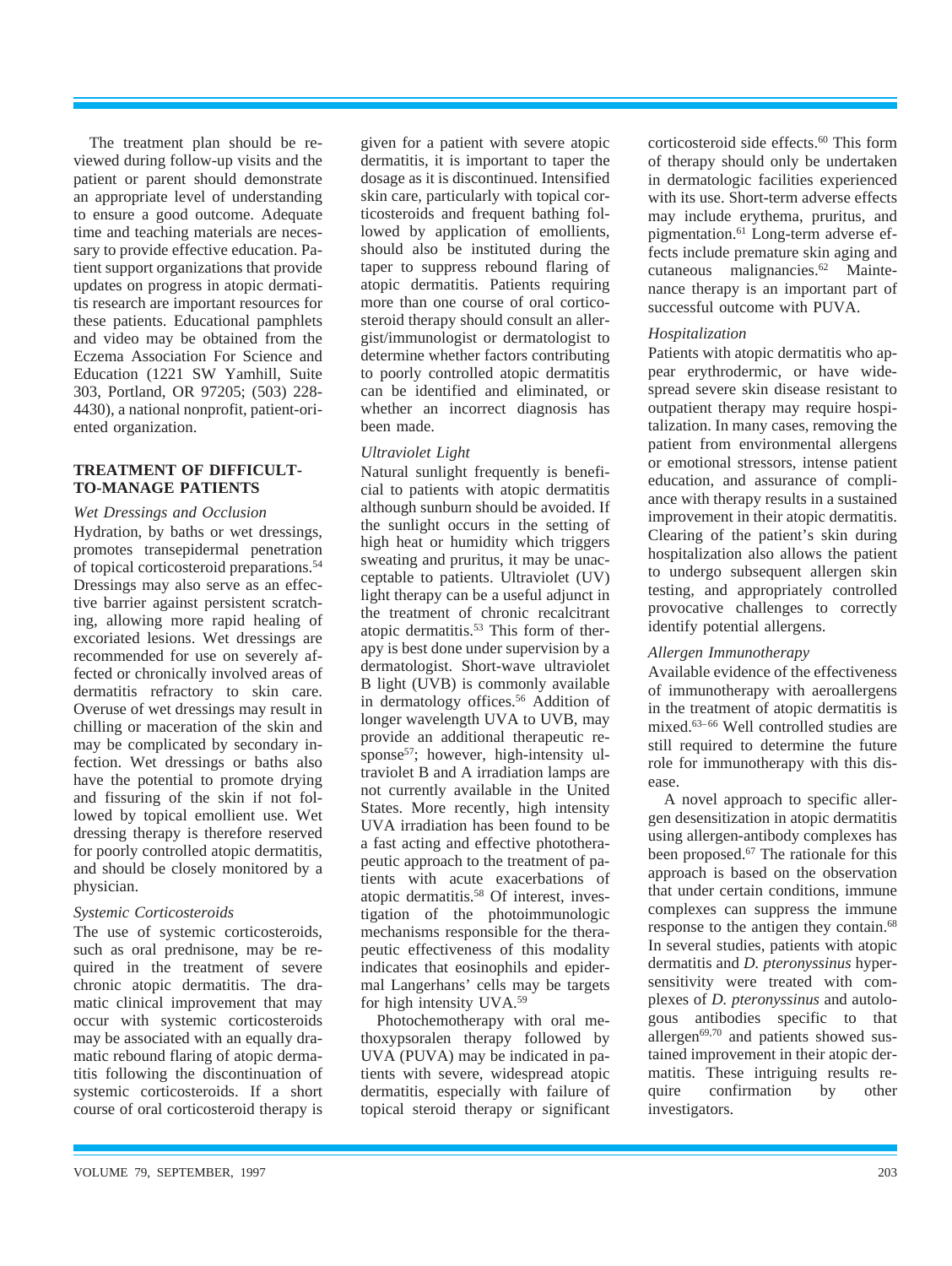The treatment plan should be reviewed during follow-up visits and the patient or parent should demonstrate an appropriate level of understanding to ensure a good outcome. Adequate time and teaching materials are necessary to provide effective education. Patient support organizations that provide updates on progress in atopic dermatitis research are important resources for these patients. Educational pamphlets and video may be obtained from the Eczema Association For Science and Education (1221 SW Yamhill, Suite 303, Portland, OR 97205; (503) 228- 4430), a national nonprofit, patient-oriented organization.

## **TREATMENT OF DIFFICULT-TO-MANAGE PATIENTS**

## *Wet Dressings and Occlusion*

Hydration, by baths or wet dressings, promotes transepidermal penetration of topical corticosteroid preparations.54 Dressings may also serve as an effective barrier against persistent scratching, allowing more rapid healing of excoriated lesions. Wet dressings are recommended for use on severely affected or chronically involved areas of dermatitis refractory to skin care. Overuse of wet dressings may result in chilling or maceration of the skin and may be complicated by secondary infection. Wet dressings or baths also have the potential to promote drying and fissuring of the skin if not followed by topical emollient use. Wet dressing therapy is therefore reserved for poorly controlled atopic dermatitis, and should be closely monitored by a physician.

## *Systemic Corticosteroids*

The use of systemic corticosteroids, such as oral prednisone, may be required in the treatment of severe chronic atopic dermatitis. The dramatic clinical improvement that may occur with systemic corticosteroids may be associated with an equally dramatic rebound flaring of atopic dermatitis following the discontinuation of systemic corticosteroids. If a short course of oral corticosteroid therapy is given for a patient with severe atopic dermatitis, it is important to taper the dosage as it is discontinued. Intensified skin care, particularly with topical corticosteroids and frequent bathing followed by application of emollients, should also be instituted during the taper to suppress rebound flaring of atopic dermatitis. Patients requiring more than one course of oral corticosteroid therapy should consult an allergist/immunologist or dermatologist to determine whether factors contributing to poorly controlled atopic dermatitis can be identified and eliminated, or whether an incorrect diagnosis has been made.

## *Ultraviolet Light*

Natural sunlight frequently is beneficial to patients with atopic dermatitis although sunburn should be avoided. If the sunlight occurs in the setting of high heat or humidity which triggers sweating and pruritus, it may be unacceptable to patients. Ultraviolet (UV) light therapy can be a useful adjunct in the treatment of chronic recalcitrant atopic dermatitis.53 This form of therapy is best done under supervision by a dermatologist. Short-wave ultraviolet B light (UVB) is commonly available in dermatology offices.<sup>56</sup> Addition of longer wavelength UVA to UVB, may provide an additional therapeutic response<sup>57</sup>; however, high-intensity ultraviolet B and A irradiation lamps are not currently available in the United States. More recently, high intensity UVA irradiation has been found to be a fast acting and effective phototherapeutic approach to the treatment of patients with acute exacerbations of atopic dermatitis.58 Of interest, investigation of the photoimmunologic mechanisms responsible for the therapeutic effectiveness of this modality indicates that eosinophils and epidermal Langerhans' cells may be targets for high intensity UVA.59

Photochemotherapy with oral methoxypsoralen therapy followed by UVA (PUVA) may be indicated in patients with severe, widespread atopic dermatitis, especially with failure of topical steroid therapy or significant corticosteroid side effects.<sup>60</sup> This form of therapy should only be undertaken in dermatologic facilities experienced with its use. Short-term adverse effects may include erythema, pruritus, and pigmentation.61 Long-term adverse effects include premature skin aging and cutaneous malignancies.62 Maintenance therapy is an important part of successful outcome with PUVA.

## *Hospitalization*

Patients with atopic dermatitis who appear erythrodermic, or have widespread severe skin disease resistant to outpatient therapy may require hospitalization. In many cases, removing the patient from environmental allergens or emotional stressors, intense patient education, and assurance of compliance with therapy results in a sustained improvement in their atopic dermatitis. Clearing of the patient's skin during hospitalization also allows the patient to undergo subsequent allergen skin testing, and appropriately controlled provocative challenges to correctly identify potential allergens.

## *Allergen Immunotherapy*

Available evidence of the effectiveness of immunotherapy with aeroallergens in the treatment of atopic dermatitis is mixed.63–66 Well controlled studies are still required to determine the future role for immunotherapy with this disease.

A novel approach to specific allergen desensitization in atopic dermatitis using allergen-antibody complexes has been proposed.67 The rationale for this approach is based on the observation that under certain conditions, immune complexes can suppress the immune response to the antigen they contain.68 In several studies, patients with atopic dermatitis and *D. pteronyssinus* hypersensitivity were treated with complexes of *D. pteronyssinus* and autologous antibodies specific to that allergen $69,70$  and patients showed sustained improvement in their atopic dermatitis. These intriguing results require confirmation by other investigators.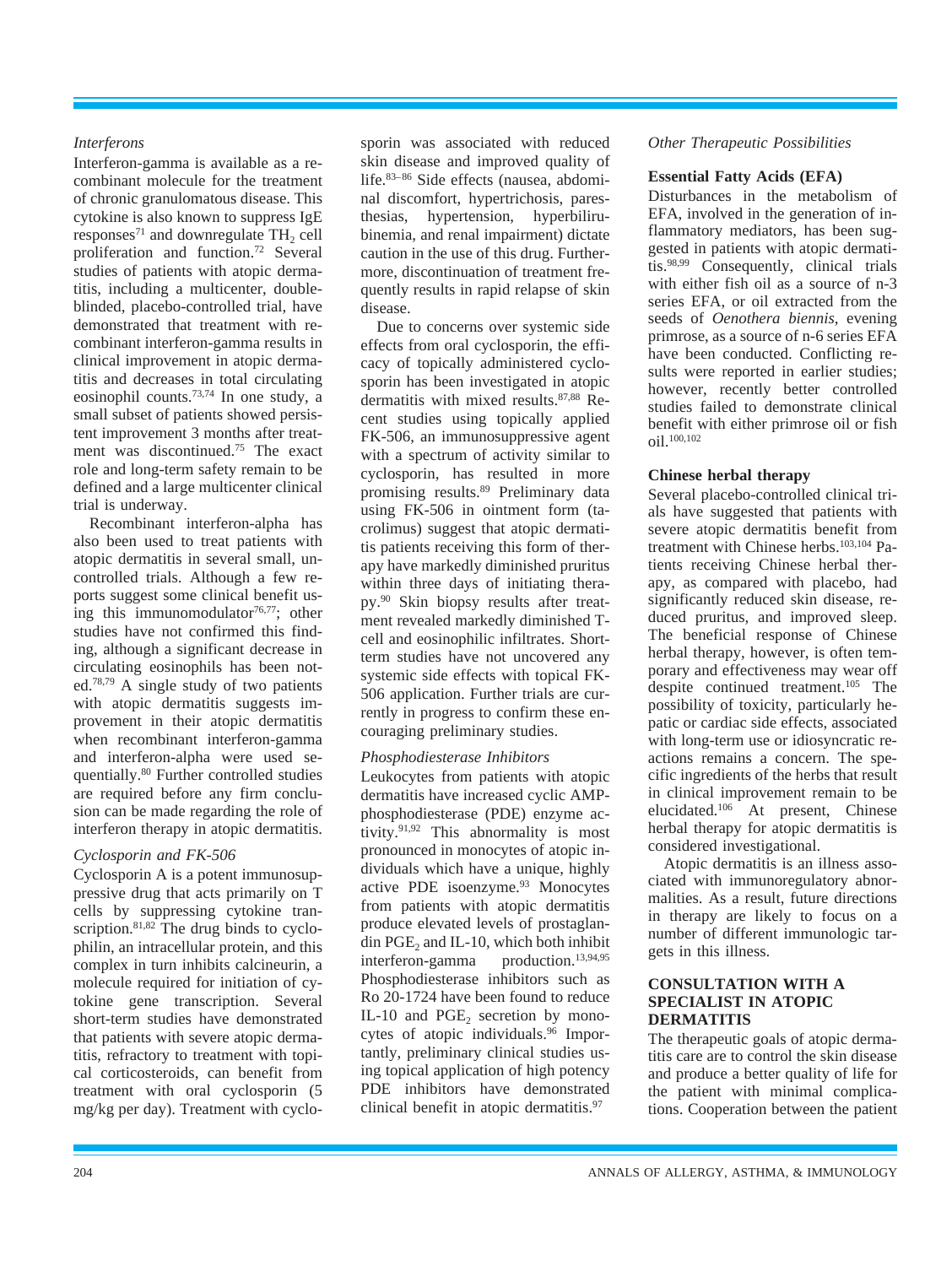# *Interferons*

Interferon-gamma is available as a recombinant molecule for the treatment of chronic granulomatous disease. This cytokine is also known to suppress IgE  $respones<sup>71</sup>$  and downregulate TH<sub>2</sub> cell proliferation and function.72 Several studies of patients with atopic dermatitis, including a multicenter, doubleblinded, placebo-controlled trial, have demonstrated that treatment with recombinant interferon-gamma results in clinical improvement in atopic dermatitis and decreases in total circulating eosinophil counts.<sup>73,74</sup> In one study, a small subset of patients showed persistent improvement 3 months after treatment was discontinued.<sup>75</sup> The exact role and long-term safety remain to be defined and a large multicenter clinical trial is underway.

Recombinant interferon-alpha has also been used to treat patients with atopic dermatitis in several small, uncontrolled trials. Although a few reports suggest some clinical benefit using this immunomodulator<sup>76,77</sup>; other studies have not confirmed this finding, although a significant decrease in circulating eosinophils has been noted.78,79 A single study of two patients with atopic dermatitis suggests improvement in their atopic dermatitis when recombinant interferon-gamma and interferon-alpha were used sequentially.80 Further controlled studies are required before any firm conclusion can be made regarding the role of interferon therapy in atopic dermatitis.

# *Cyclosporin and FK-506*

Cyclosporin A is a potent immunosuppressive drug that acts primarily on T cells by suppressing cytokine transcription.<sup>81,82</sup> The drug binds to cyclophilin, an intracellular protein, and this complex in turn inhibits calcineurin, a molecule required for initiation of cytokine gene transcription. Several short-term studies have demonstrated that patients with severe atopic dermatitis, refractory to treatment with topical corticosteroids, can benefit from treatment with oral cyclosporin (5 mg/kg per day). Treatment with cyclo-

sporin was associated with reduced skin disease and improved quality of life.83–86 Side effects (nausea, abdominal discomfort, hypertrichosis, paresthesias, hypertension, hyperbilirubinemia, and renal impairment) dictate caution in the use of this drug. Furthermore, discontinuation of treatment frequently results in rapid relapse of skin disease.

Due to concerns over systemic side effects from oral cyclosporin, the efficacy of topically administered cyclosporin has been investigated in atopic dermatitis with mixed results.87,88 Recent studies using topically applied FK-506, an immunosuppressive agent with a spectrum of activity similar to cyclosporin, has resulted in more promising results.89 Preliminary data using FK-506 in ointment form (tacrolimus) suggest that atopic dermatitis patients receiving this form of therapy have markedly diminished pruritus within three days of initiating therapy.90 Skin biopsy results after treatment revealed markedly diminished Tcell and eosinophilic infiltrates. Shortterm studies have not uncovered any systemic side effects with topical FK-506 application. Further trials are currently in progress to confirm these encouraging preliminary studies.

# *Phosphodiesterase Inhibitors*

Leukocytes from patients with atopic dermatitis have increased cyclic AMPphosphodiesterase (PDE) enzyme activity.91,92 This abnormality is most pronounced in monocytes of atopic individuals which have a unique, highly active PDE isoenzyme.<sup>93</sup> Monocytes from patients with atopic dermatitis produce elevated levels of prostaglandin  $PGE_2$  and IL-10, which both inhibit interferon-gamma production.<sup>13,94,95</sup> Phosphodiesterase inhibitors such as Ro 20-1724 have been found to reduce IL-10 and  $PGE<sub>2</sub>$  secretion by monocytes of atopic individuals.<sup>96</sup> Importantly, preliminary clinical studies using topical application of high potency PDE inhibitors have demonstrated clinical benefit in atopic dermatitis.<sup>97</sup>

# *Other Therapeutic Possibilities*

# **Essential Fatty Acids (EFA)**

Disturbances in the metabolism of EFA, involved in the generation of inflammatory mediators, has been suggested in patients with atopic dermatitis.98,99 Consequently, clinical trials with either fish oil as a source of n-3 series EFA, or oil extracted from the seeds of *Oenothera biennis*, evening primrose, as a source of n-6 series EFA have been conducted. Conflicting results were reported in earlier studies; however, recently better controlled studies failed to demonstrate clinical benefit with either primrose oil or fish oil.100,102

# **Chinese herbal therapy**

Several placebo-controlled clinical trials have suggested that patients with severe atopic dermatitis benefit from treatment with Chinese herbs.<sup>103,104</sup> Patients receiving Chinese herbal therapy, as compared with placebo, had significantly reduced skin disease, reduced pruritus, and improved sleep. The beneficial response of Chinese herbal therapy, however, is often temporary and effectiveness may wear off despite continued treatment.105 The possibility of toxicity, particularly hepatic or cardiac side effects, associated with long-term use or idiosyncratic reactions remains a concern. The specific ingredients of the herbs that result in clinical improvement remain to be elucidated.<sup>106</sup> At present, Chinese herbal therapy for atopic dermatitis is considered investigational.

Atopic dermatitis is an illness associated with immunoregulatory abnormalities. As a result, future directions in therapy are likely to focus on a number of different immunologic targets in this illness.

## **CONSULTATION WITH A SPECIALIST IN ATOPIC DERMATITIS**

The therapeutic goals of atopic dermatitis care are to control the skin disease and produce a better quality of life for the patient with minimal complications. Cooperation between the patient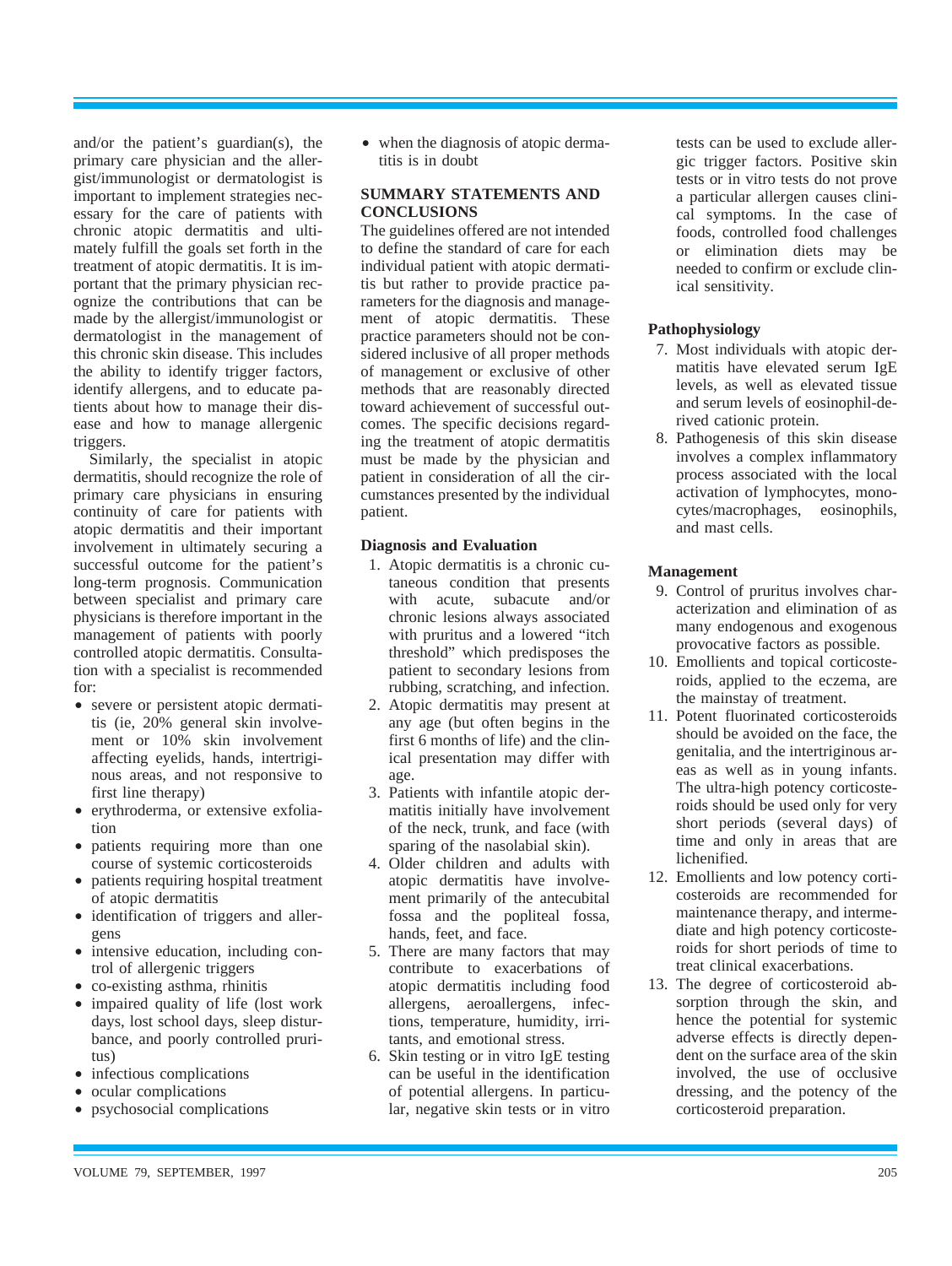and/or the patient's guardian(s), the primary care physician and the allergist/immunologist or dermatologist is important to implement strategies necessary for the care of patients with chronic atopic dermatitis and ultimately fulfill the goals set forth in the treatment of atopic dermatitis. It is important that the primary physician recognize the contributions that can be made by the allergist/immunologist or dermatologist in the management of this chronic skin disease. This includes the ability to identify trigger factors, identify allergens, and to educate patients about how to manage their disease and how to manage allergenic triggers.

Similarly, the specialist in atopic dermatitis, should recognize the role of primary care physicians in ensuring continuity of care for patients with atopic dermatitis and their important involvement in ultimately securing a successful outcome for the patient's long-term prognosis. Communication between specialist and primary care physicians is therefore important in the management of patients with poorly controlled atopic dermatitis. Consultation with a specialist is recommended for:

- severe or persistent atopic dermatitis (ie, 20% general skin involvement or 10% skin involvement affecting eyelids, hands, intertriginous areas, and not responsive to first line therapy)
- erythroderma, or extensive exfoliation
- patients requiring more than one course of systemic corticosteroids
- patients requiring hospital treatment of atopic dermatitis
- identification of triggers and allergens
- intensive education, including control of allergenic triggers
- co-existing asthma, rhinitis<br>• impaired quality of life (lo
- impaired quality of life (lost work) days, lost school days, sleep disturbance, and poorly controlled pruritus)
- infectious complications
- ocular complications
- psychosocial complications

• when the diagnosis of atopic dermatitis is in doubt

## **SUMMARY STATEMENTS AND CONCLUSIONS**

The guidelines offered are not intended to define the standard of care for each individual patient with atopic dermatitis but rather to provide practice parameters for the diagnosis and management of atopic dermatitis. These practice parameters should not be considered inclusive of all proper methods of management or exclusive of other methods that are reasonably directed toward achievement of successful outcomes. The specific decisions regarding the treatment of atopic dermatitis must be made by the physician and patient in consideration of all the circumstances presented by the individual patient.

## **Diagnosis and Evaluation**

- 1. Atopic dermatitis is a chronic cutaneous condition that presents with acute, subacute and/or chronic lesions always associated with pruritus and a lowered "itch threshold" which predisposes the patient to secondary lesions from rubbing, scratching, and infection.
- 2. Atopic dermatitis may present at any age (but often begins in the first 6 months of life) and the clinical presentation may differ with age.
- 3. Patients with infantile atopic dermatitis initially have involvement of the neck, trunk, and face (with sparing of the nasolabial skin).
- 4. Older children and adults with atopic dermatitis have involvement primarily of the antecubital fossa and the popliteal fossa, hands, feet, and face.
- 5. There are many factors that may contribute to exacerbations of atopic dermatitis including food allergens, aeroallergens, infections, temperature, humidity, irritants, and emotional stress.
- 6. Skin testing or in vitro IgE testing can be useful in the identification of potential allergens. In particular, negative skin tests or in vitro

tests can be used to exclude allergic trigger factors. Positive skin tests or in vitro tests do not prove a particular allergen causes clinical symptoms. In the case of foods, controlled food challenges or elimination diets may be needed to confirm or exclude clinical sensitivity.

## **Pathophysiology**

- 7. Most individuals with atopic dermatitis have elevated serum IgE levels, as well as elevated tissue and serum levels of eosinophil-derived cationic protein.
- 8. Pathogenesis of this skin disease involves a complex inflammatory process associated with the local activation of lymphocytes, monocytes/macrophages, eosinophils, and mast cells.

## **Management**

- 9. Control of pruritus involves characterization and elimination of as many endogenous and exogenous provocative factors as possible.
- 10. Emollients and topical corticosteroids, applied to the eczema, are the mainstay of treatment.
- 11. Potent fluorinated corticosteroids should be avoided on the face, the genitalia, and the intertriginous areas as well as in young infants. The ultra-high potency corticosteroids should be used only for very short periods (several days) of time and only in areas that are lichenified.
- 12. Emollients and low potency corticosteroids are recommended for maintenance therapy, and intermediate and high potency corticosteroids for short periods of time to treat clinical exacerbations.
- 13. The degree of corticosteroid absorption through the skin, and hence the potential for systemic adverse effects is directly dependent on the surface area of the skin involved, the use of occlusive dressing, and the potency of the corticosteroid preparation.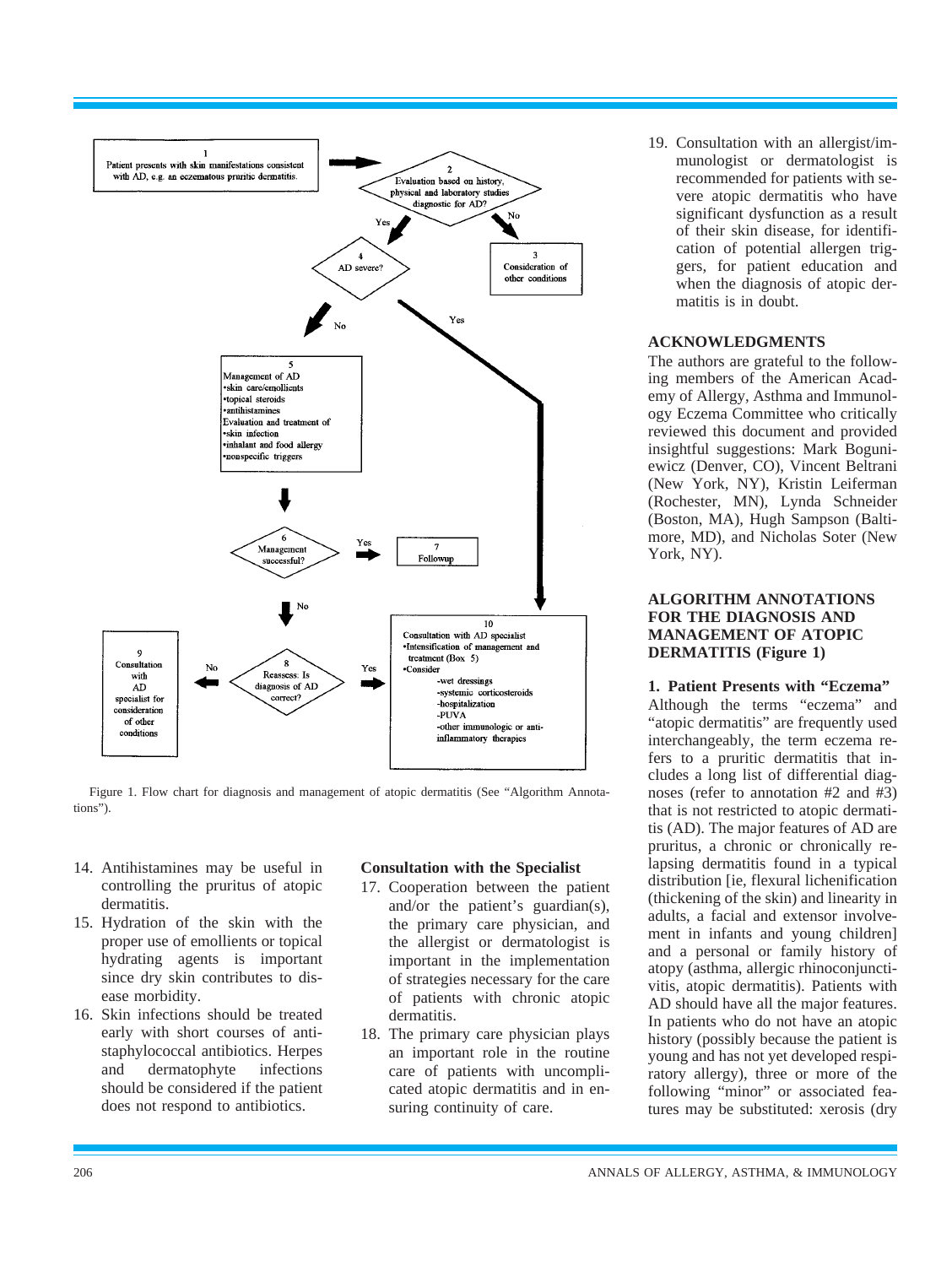

Figure 1. Flow chart for diagnosis and management of atopic dermatitis (See "Algorithm Annotations").

- 14. Antihistamines may be useful in controlling the pruritus of atopic dermatitis.
- 15. Hydration of the skin with the proper use of emollients or topical hydrating agents is important since dry skin contributes to disease morbidity.
- 16. Skin infections should be treated early with short courses of antistaphylococcal antibiotics. Herpes and dermatophyte infections should be considered if the patient does not respond to antibiotics.

## **Consultation with the Specialist**

- 17. Cooperation between the patient and/or the patient's guardian(s), the primary care physician, and the allergist or dermatologist is important in the implementation of strategies necessary for the care of patients with chronic atopic dermatitis.
- 18. The primary care physician plays an important role in the routine care of patients with uncomplicated atopic dermatitis and in ensuring continuity of care.

19. Consultation with an allergist/immunologist or dermatologist is recommended for patients with severe atopic dermatitis who have significant dysfunction as a result of their skin disease, for identification of potential allergen triggers, for patient education and when the diagnosis of atopic dermatitis is in doubt.

## **ACKNOWLEDGMENTS**

The authors are grateful to the following members of the American Academy of Allergy, Asthma and Immunology Eczema Committee who critically reviewed this document and provided insightful suggestions: Mark Boguniewicz (Denver, CO), Vincent Beltrani (New York, NY), Kristin Leiferman (Rochester, MN), Lynda Schneider (Boston, MA), Hugh Sampson (Baltimore, MD), and Nicholas Soter (New York, NY).

## **ALGORITHM ANNOTATIONS FOR THE DIAGNOSIS AND MANAGEMENT OF ATOPIC DERMATITIS (Figure 1)**

**1. Patient Presents with "Eczema"** Although the terms "eczema" and "atopic dermatitis" are frequently used interchangeably, the term eczema refers to a pruritic dermatitis that includes a long list of differential diagnoses (refer to annotation #2 and #3) that is not restricted to atopic dermatitis (AD). The major features of AD are pruritus, a chronic or chronically relapsing dermatitis found in a typical distribution [ie, flexural lichenification (thickening of the skin) and linearity in adults, a facial and extensor involvement in infants and young children] and a personal or family history of atopy (asthma, allergic rhinoconjunctivitis, atopic dermatitis). Patients with AD should have all the major features. In patients who do not have an atopic history (possibly because the patient is young and has not yet developed respiratory allergy), three or more of the following "minor" or associated features may be substituted: xerosis (dry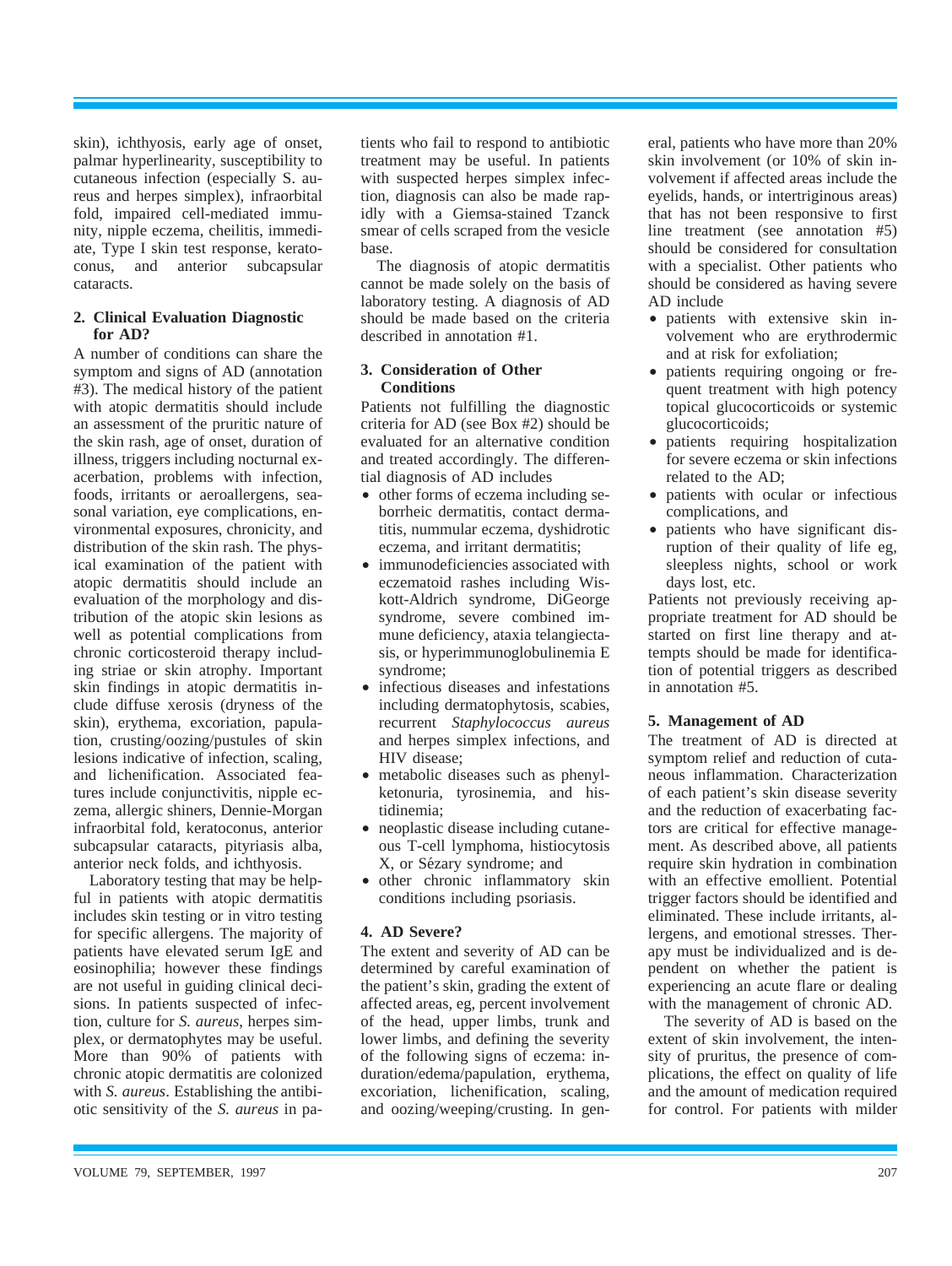skin), ichthyosis, early age of onset, palmar hyperlinearity, susceptibility to cutaneous infection (especially S. aureus and herpes simplex), infraorbital fold, impaired cell-mediated immunity, nipple eczema, cheilitis, immediate, Type I skin test response, keratoconus, and anterior subcapsular cataracts.

## **2. Clinical Evaluation Diagnostic for AD?**

A number of conditions can share the symptom and signs of AD (annotation #3). The medical history of the patient with atopic dermatitis should include an assessment of the pruritic nature of the skin rash, age of onset, duration of illness, triggers including nocturnal exacerbation, problems with infection, foods, irritants or aeroallergens, seasonal variation, eye complications, environmental exposures, chronicity, and distribution of the skin rash. The physical examination of the patient with atopic dermatitis should include an evaluation of the morphology and distribution of the atopic skin lesions as well as potential complications from chronic corticosteroid therapy including striae or skin atrophy. Important skin findings in atopic dermatitis include diffuse xerosis (dryness of the skin), erythema, excoriation, papulation, crusting/oozing/pustules of skin lesions indicative of infection, scaling, and lichenification. Associated features include conjunctivitis, nipple eczema, allergic shiners, Dennie-Morgan infraorbital fold, keratoconus, anterior subcapsular cataracts, pityriasis alba, anterior neck folds, and ichthyosis.

Laboratory testing that may be helpful in patients with atopic dermatitis includes skin testing or in vitro testing for specific allergens. The majority of patients have elevated serum IgE and eosinophilia; however these findings are not useful in guiding clinical decisions. In patients suspected of infection, culture for *S. aureus*, herpes simplex, or dermatophytes may be useful. More than 90% of patients with chronic atopic dermatitis are colonized with *S. aureus*. Establishing the antibiotic sensitivity of the *S. aureus* in pa-

tients who fail to respond to antibiotic treatment may be useful. In patients with suspected herpes simplex infection, diagnosis can also be made rapidly with a Giemsa-stained Tzanck smear of cells scraped from the vesicle base.

The diagnosis of atopic dermatitis cannot be made solely on the basis of laboratory testing. A diagnosis of AD should be made based on the criteria described in annotation #1.

## **3. Consideration of Other Conditions**

Patients not fulfilling the diagnostic criteria for AD (see Box #2) should be evaluated for an alternative condition and treated accordingly. The differential diagnosis of AD includes

- other forms of eczema including seborrheic dermatitis, contact dermatitis, nummular eczema, dyshidrotic eczema, and irritant dermatitis;
- immunodeficiencies associated with eczematoid rashes including Wiskott-Aldrich syndrome, DiGeorge syndrome, severe combined immune deficiency, ataxia telangiectasis, or hyperimmunoglobulinemia E syndrome;
- infectious diseases and infestations including dermatophytosis, scabies, recurrent *Staphylococcus aureus* and herpes simplex infections, and HIV disease;
- metabolic diseases such as phenylketonuria, tyrosinemia, and histidinemia;
- neoplastic disease including cutaneous T-cell lymphoma, histiocytosis X, or Sézary syndrome; and
- other chronic inflammatory skin conditions including psoriasis.

# **4. AD Severe?**

The extent and severity of AD can be determined by careful examination of the patient's skin, grading the extent of affected areas, eg, percent involvement of the head, upper limbs, trunk and lower limbs, and defining the severity of the following signs of eczema: induration/edema/papulation, erythema, excoriation, lichenification, scaling, and oozing/weeping/crusting. In general, patients who have more than 20% skin involvement (or 10% of skin involvement if affected areas include the eyelids, hands, or intertriginous areas) that has not been responsive to first line treatment (see annotation #5) should be considered for consultation with a specialist. Other patients who should be considered as having severe AD include

- patients with extensive skin involvement who are erythrodermic and at risk for exfoliation;
- patients requiring ongoing or frequent treatment with high potency topical glucocorticoids or systemic glucocorticoids;
- patients requiring hospitalization for severe eczema or skin infections related to the AD;
- patients with ocular or infectious complications, and
- patients who have significant disruption of their quality of life eg, sleepless nights, school or work days lost, etc.

Patients not previously receiving appropriate treatment for AD should be started on first line therapy and attempts should be made for identification of potential triggers as described in annotation #5.

# **5. Management of AD**

The treatment of AD is directed at symptom relief and reduction of cutaneous inflammation. Characterization of each patient's skin disease severity and the reduction of exacerbating factors are critical for effective management. As described above, all patients require skin hydration in combination with an effective emollient. Potential trigger factors should be identified and eliminated. These include irritants, allergens, and emotional stresses. Therapy must be individualized and is dependent on whether the patient is experiencing an acute flare or dealing with the management of chronic AD.

The severity of AD is based on the extent of skin involvement, the intensity of pruritus, the presence of complications, the effect on quality of life and the amount of medication required for control. For patients with milder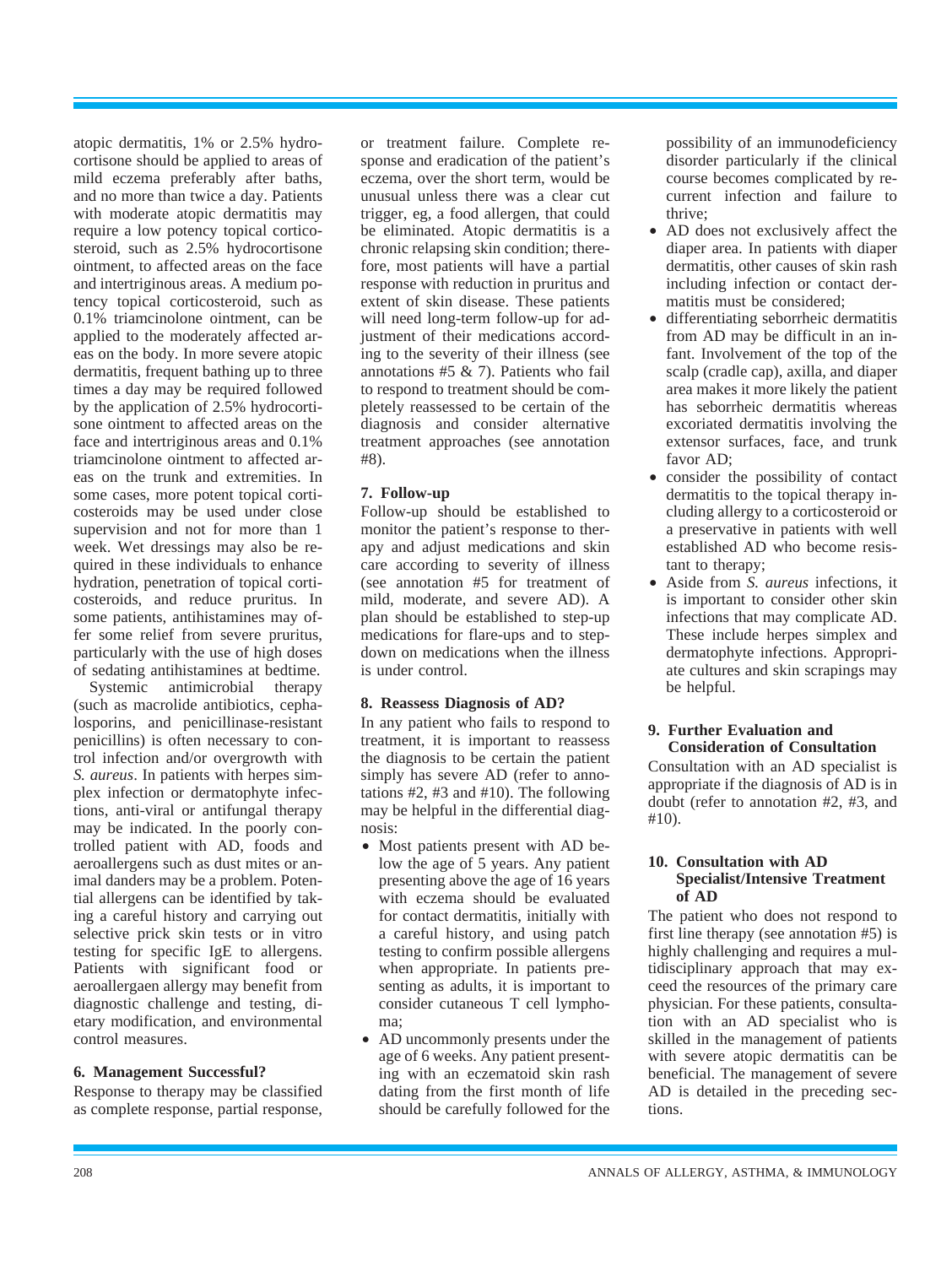atopic dermatitis, 1% or 2.5% hydrocortisone should be applied to areas of mild eczema preferably after baths, and no more than twice a day. Patients with moderate atopic dermatitis may require a low potency topical corticosteroid, such as 2.5% hydrocortisone ointment, to affected areas on the face and intertriginous areas. A medium potency topical corticosteroid, such as 0.1% triamcinolone ointment, can be applied to the moderately affected areas on the body. In more severe atopic dermatitis, frequent bathing up to three times a day may be required followed by the application of 2.5% hydrocortisone ointment to affected areas on the face and intertriginous areas and 0.1% triamcinolone ointment to affected areas on the trunk and extremities. In some cases, more potent topical corticosteroids may be used under close supervision and not for more than 1 week. Wet dressings may also be required in these individuals to enhance hydration, penetration of topical corticosteroids, and reduce pruritus. In some patients, antihistamines may offer some relief from severe pruritus, particularly with the use of high doses of sedating antihistamines at bedtime.

Systemic antimicrobial therapy (such as macrolide antibiotics, cephalosporins, and penicillinase-resistant penicillins) is often necessary to control infection and/or overgrowth with *S. aureus*. In patients with herpes simplex infection or dermatophyte infections, anti-viral or antifungal therapy may be indicated. In the poorly controlled patient with AD, foods and aeroallergens such as dust mites or animal danders may be a problem. Potential allergens can be identified by taking a careful history and carrying out selective prick skin tests or in vitro testing for specific IgE to allergens. Patients with significant food or aeroallergaen allergy may benefit from diagnostic challenge and testing, dietary modification, and environmental control measures.

# **6. Management Successful?**

Response to therapy may be classified as complete response, partial response,

or treatment failure. Complete response and eradication of the patient's eczema, over the short term, would be unusual unless there was a clear cut trigger, eg, a food allergen, that could be eliminated. Atopic dermatitis is a chronic relapsing skin condition; therefore, most patients will have a partial response with reduction in pruritus and extent of skin disease. These patients will need long-term follow-up for adjustment of their medications according to the severity of their illness (see annotations #5 & 7). Patients who fail to respond to treatment should be completely reassessed to be certain of the diagnosis and consider alternative treatment approaches (see annotation #8).

# **7. Follow-up**

Follow-up should be established to monitor the patient's response to therapy and adjust medications and skin care according to severity of illness (see annotation #5 for treatment of mild, moderate, and severe AD). A plan should be established to step-up medications for flare-ups and to stepdown on medications when the illness is under control.

# **8. Reassess Diagnosis of AD?**

In any patient who fails to respond to treatment, it is important to reassess the diagnosis to be certain the patient simply has severe AD (refer to annotations #2, #3 and #10). The following may be helpful in the differential diagnosis:

- Most patients present with AD below the age of 5 years. Any patient presenting above the age of 16 years with eczema should be evaluated for contact dermatitis, initially with a careful history, and using patch testing to confirm possible allergens when appropriate. In patients presenting as adults, it is important to consider cutaneous T cell lymphoma;
- AD uncommonly presents under the age of 6 weeks. Any patient presenting with an eczematoid skin rash dating from the first month of life should be carefully followed for the

possibility of an immunodeficiency disorder particularly if the clinical course becomes complicated by recurrent infection and failure to thrive;

- AD does not exclusively affect the diaper area. In patients with diaper dermatitis, other causes of skin rash including infection or contact dermatitis must be considered;
- differentiating seborrheic dermatitis from AD may be difficult in an infant. Involvement of the top of the scalp (cradle cap), axilla, and diaper area makes it more likely the patient has seborrheic dermatitis whereas excoriated dermatitis involving the extensor surfaces, face, and trunk favor AD;
- consider the possibility of contact dermatitis to the topical therapy including allergy to a corticosteroid or a preservative in patients with well established AD who become resistant to therapy;
- Aside from *S. aureus* infections, it is important to consider other skin infections that may complicate AD. These include herpes simplex and dermatophyte infections. Appropriate cultures and skin scrapings may be helpful.

## **9. Further Evaluation and Consideration of Consultation**

Consultation with an AD specialist is appropriate if the diagnosis of AD is in doubt (refer to annotation #2, #3, and #10).

# **10. Consultation with AD Specialist/Intensive Treatment of AD**

The patient who does not respond to first line therapy (see annotation #5) is highly challenging and requires a multidisciplinary approach that may exceed the resources of the primary care physician. For these patients, consultation with an AD specialist who is skilled in the management of patients with severe atopic dermatitis can be beneficial. The management of severe AD is detailed in the preceding sections.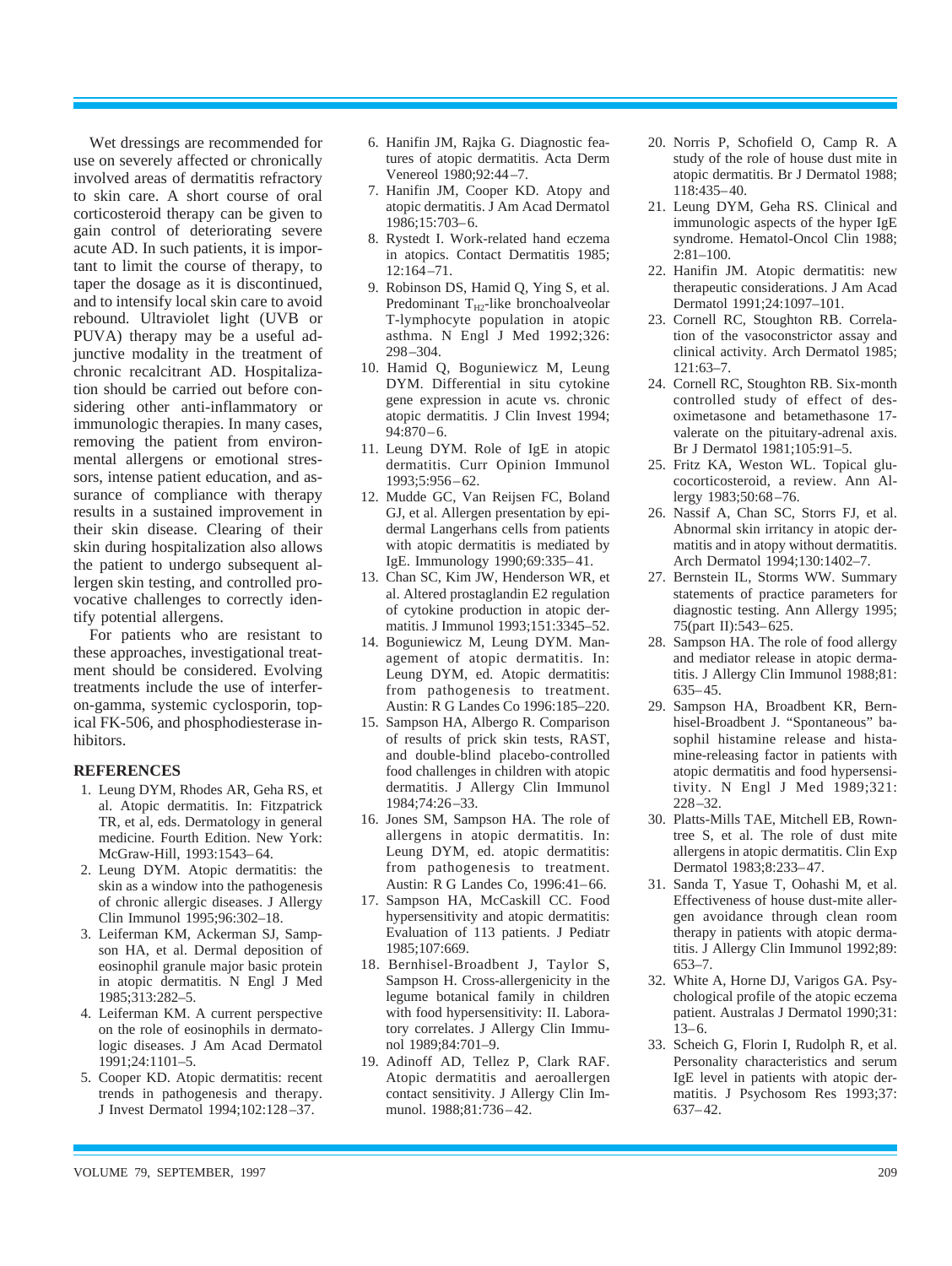Wet dressings are recommended for use on severely affected or chronically involved areas of dermatitis refractory to skin care. A short course of oral corticosteroid therapy can be given to gain control of deteriorating severe acute AD. In such patients, it is important to limit the course of therapy, to taper the dosage as it is discontinued, and to intensify local skin care to avoid rebound. Ultraviolet light (UVB or PUVA) therapy may be a useful adjunctive modality in the treatment of chronic recalcitrant AD. Hospitalization should be carried out before considering other anti-inflammatory or immunologic therapies. In many cases, removing the patient from environmental allergens or emotional stressors, intense patient education, and assurance of compliance with therapy results in a sustained improvement in their skin disease. Clearing of their skin during hospitalization also allows the patient to undergo subsequent allergen skin testing, and controlled provocative challenges to correctly identify potential allergens.

For patients who are resistant to these approaches, investigational treatment should be considered. Evolving treatments include the use of interferon-gamma, systemic cyclosporin, topical FK-506, and phosphodiesterase inhibitors.

## **REFERENCES**

- 1. Leung DYM, Rhodes AR, Geha RS, et al. Atopic dermatitis. In: Fitzpatrick TR, et al, eds. Dermatology in general medicine. Fourth Edition. New York: McGraw-Hill, 1993:1543–64.
- 2. Leung DYM. Atopic dermatitis: the skin as a window into the pathogenesis of chronic allergic diseases. J Allergy Clin Immunol 1995;96:302–18.
- 3. Leiferman KM, Ackerman SJ, Sampson HA, et al. Dermal deposition of eosinophil granule major basic protein in atopic dermatitis. N Engl J Med 1985;313:282–5.
- 4. Leiferman KM. A current perspective on the role of eosinophils in dermatologic diseases. J Am Acad Dermatol 1991;24:1101–5.
- 5. Cooper KD. Atopic dermatitis: recent trends in pathogenesis and therapy. J Invest Dermatol 1994;102:128–37.
- 6. Hanifin JM, Rajka G. Diagnostic features of atopic dermatitis. Acta Derm Venereol 1980;92:44–7.
- 7. Hanifin JM, Cooper KD. Atopy and atopic dermatitis. J Am Acad Dermatol 1986;15:703–6.
- 8. Rystedt I. Work-related hand eczema in atopics. Contact Dermatitis 1985; 12:164–71.
- 9. Robinson DS, Hamid Q, Ying S, et al. Predominant  $T_{H2}$ -like bronchoalveolar T-lymphocyte population in atopic asthma. N Engl J Med 1992;326: 298–304.
- 10. Hamid Q, Boguniewicz M, Leung DYM. Differential in situ cytokine gene expression in acute vs. chronic atopic dermatitis. J Clin Invest 1994;  $94:870-6.$
- 11. Leung DYM. Role of IgE in atopic dermatitis. Curr Opinion Immunol 1993;5:956–62.
- 12. Mudde GC, Van Reijsen FC, Boland GJ, et al. Allergen presentation by epidermal Langerhans cells from patients with atopic dermatitis is mediated by IgE. Immunology 1990;69:335–41.
- 13. Chan SC, Kim JW, Henderson WR, et al. Altered prostaglandin E2 regulation of cytokine production in atopic dermatitis. J Immunol 1993;151:3345–52.
- 14. Boguniewicz M, Leung DYM. Management of atopic dermatitis. In: Leung DYM, ed. Atopic dermatitis: from pathogenesis to treatment. Austin: R G Landes Co 1996:185–220.
- 15. Sampson HA, Albergo R. Comparison of results of prick skin tests, RAST, and double-blind placebo-controlled food challenges in children with atopic dermatitis. J Allergy Clin Immunol 1984;74:26–33.
- 16. Jones SM, Sampson HA. The role of allergens in atopic dermatitis. In: Leung DYM, ed. atopic dermatitis: from pathogenesis to treatment. Austin: R G Landes Co, 1996:41–66.
- 17. Sampson HA, McCaskill CC. Food hypersensitivity and atopic dermatitis: Evaluation of 113 patients. J Pediatr 1985;107:669.
- 18. Bernhisel-Broadbent J, Taylor S, Sampson H. Cross-allergenicity in the legume botanical family in children with food hypersensitivity: II. Laboratory correlates. J Allergy Clin Immunol 1989;84:701–9.
- 19. Adinoff AD, Tellez P, Clark RAF. Atopic dermatitis and aeroallergen contact sensitivity. J Allergy Clin Immunol. 1988;81:736–42.
- 20. Norris P, Schofield O, Camp R. A study of the role of house dust mite in atopic dermatitis. Br J Dermatol 1988; 118:435–40.
- 21. Leung DYM, Geha RS. Clinical and immunologic aspects of the hyper IgE syndrome. Hematol-Oncol Clin 1988; 2:81–100.
- 22. Hanifin JM. Atopic dermatitis: new therapeutic considerations. J Am Acad Dermatol 1991;24:1097–101.
- 23. Cornell RC, Stoughton RB. Correlation of the vasoconstrictor assay and clinical activity. Arch Dermatol 1985; 121:63–7.
- 24. Cornell RC, Stoughton RB. Six-month controlled study of effect of desoximetasone and betamethasone 17 valerate on the pituitary-adrenal axis. Br J Dermatol 1981;105:91–5.
- 25. Fritz KA, Weston WL. Topical glucocorticosteroid, a review. Ann Allergy 1983;50:68–76.
- 26. Nassif A, Chan SC, Storrs FJ, et al. Abnormal skin irritancy in atopic dermatitis and in atopy without dermatitis. Arch Dermatol 1994;130:1402–7.
- 27. Bernstein IL, Storms WW. Summary statements of practice parameters for diagnostic testing. Ann Allergy 1995; 75(part II):543–625.
- 28. Sampson HA. The role of food allergy and mediator release in atopic dermatitis. J Allergy Clin Immunol 1988;81: 635–45.
- 29. Sampson HA, Broadbent KR, Bernhisel-Broadbent J. "Spontaneous" basophil histamine release and histamine-releasing factor in patients with atopic dermatitis and food hypersensitivity. N Engl J Med 1989;321: 228–32.
- 30. Platts-Mills TAE, Mitchell EB, Rowntree S, et al. The role of dust mite allergens in atopic dermatitis. Clin Exp Dermatol 1983;8:233–47.
- 31. Sanda T, Yasue T, Oohashi M, et al. Effectiveness of house dust-mite allergen avoidance through clean room therapy in patients with atopic dermatitis. J Allergy Clin Immunol 1992;89: 653–7.
- 32. White A, Horne DJ, Varigos GA. Psychological profile of the atopic eczema patient. Australas J Dermatol 1990;31: 13–6.
- 33. Scheich G, Florin I, Rudolph R, et al. Personality characteristics and serum IgE level in patients with atopic dermatitis. J Psychosom Res 1993;37: 637–42.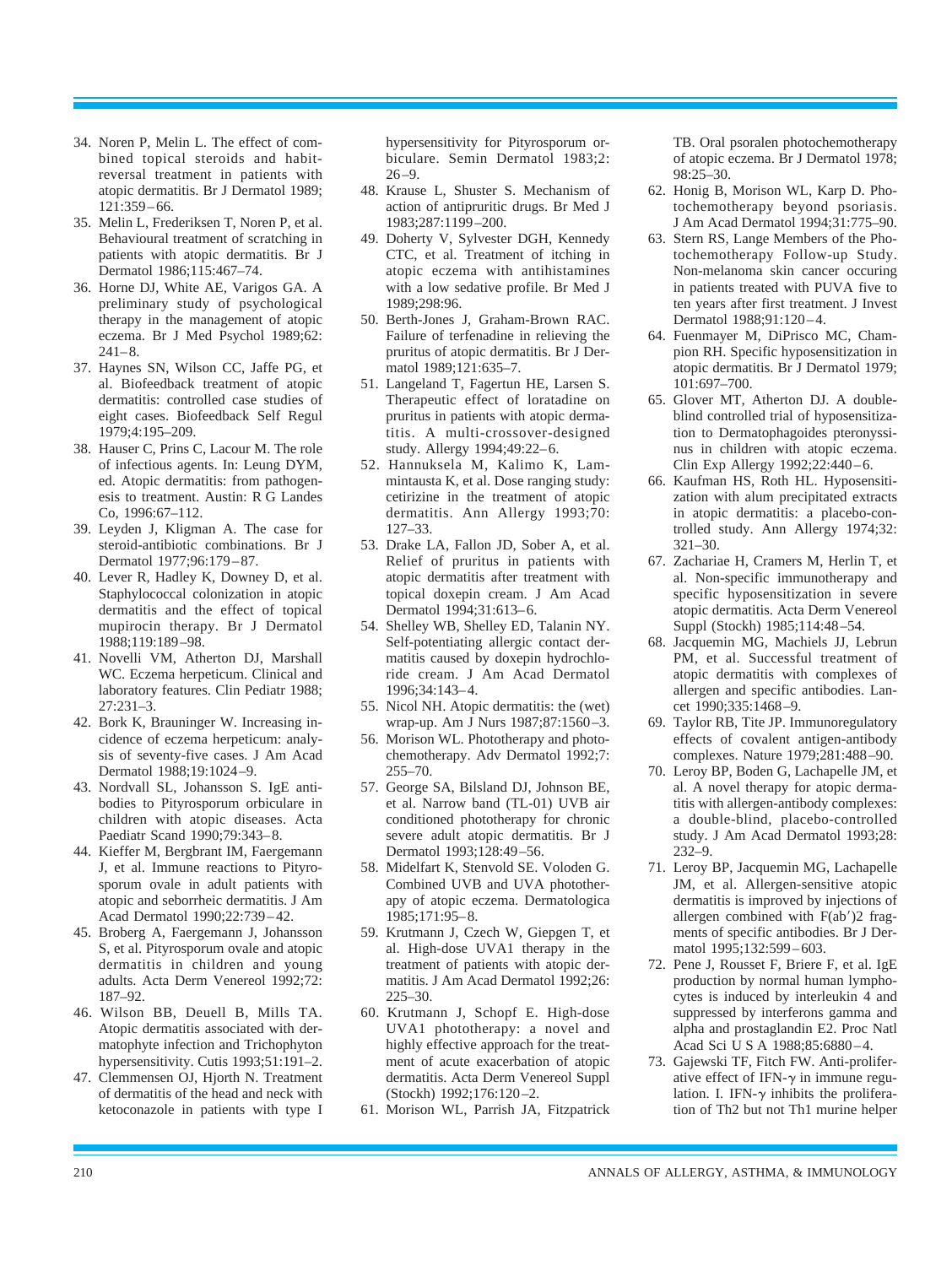- 34. Noren P, Melin L. The effect of combined topical steroids and habitreversal treatment in patients with atopic dermatitis. Br J Dermatol 1989; 121:359–66.
- 35. Melin L, Frederiksen T, Noren P, et al. Behavioural treatment of scratching in patients with atopic dermatitis. Br J Dermatol 1986;115:467–74.
- 36. Horne DJ, White AE, Varigos GA. A preliminary study of psychological therapy in the management of atopic eczema. Br J Med Psychol 1989;62:  $241 - 8$ .
- 37. Haynes SN, Wilson CC, Jaffe PG, et al. Biofeedback treatment of atopic dermatitis: controlled case studies of eight cases. Biofeedback Self Regul 1979;4:195–209.
- 38. Hauser C, Prins C, Lacour M. The role of infectious agents. In: Leung DYM, ed. Atopic dermatitis: from pathogenesis to treatment. Austin: R G Landes Co, 1996:67–112.
- 39. Leyden J, Kligman A. The case for steroid-antibiotic combinations. Br J Dermatol 1977;96:179–87.
- 40. Lever R, Hadley K, Downey D, et al. Staphylococcal colonization in atopic dermatitis and the effect of topical mupirocin therapy. Br J Dermatol 1988;119:189–98.
- 41. Novelli VM, Atherton DJ, Marshall WC. Eczema herpeticum. Clinical and laboratory features. Clin Pediatr 1988; 27:231–3.
- 42. Bork K, Brauninger W. Increasing incidence of eczema herpeticum: analysis of seventy-five cases. J Am Acad Dermatol 1988;19:1024–9.
- 43. Nordvall SL, Johansson S. IgE antibodies to Pityrosporum orbiculare in children with atopic diseases. Acta Paediatr Scand 1990;79:343–8.
- 44. Kieffer M, Bergbrant IM, Faergemann J, et al. Immune reactions to Pityrosporum ovale in adult patients with atopic and seborrheic dermatitis. J Am Acad Dermatol 1990;22:739–42.
- 45. Broberg A, Faergemann J, Johansson S, et al. Pityrosporum ovale and atopic dermatitis in children and young adults. Acta Derm Venereol 1992;72: 187–92.
- 46. Wilson BB, Deuell B, Mills TA. Atopic dermatitis associated with dermatophyte infection and Trichophyton hypersensitivity. Cutis 1993;51:191-2.
- 47. Clemmensen OJ, Hjorth N. Treatment of dermatitis of the head and neck with ketoconazole in patients with type I

hypersensitivity for Pityrosporum orbiculare. Semin Dermatol 1983;2: 26–9.

- 48. Krause L, Shuster S. Mechanism of action of antipruritic drugs. Br Med J 1983;287:1199–200.
- 49. Doherty V, Sylvester DGH, Kennedy CTC, et al. Treatment of itching in atopic eczema with antihistamines with a low sedative profile. Br Med J 1989;298:96.
- 50. Berth-Jones J, Graham-Brown RAC. Failure of terfenadine in relieving the pruritus of atopic dermatitis. Br J Dermatol 1989;121:635–7.
- 51. Langeland T, Fagertun HE, Larsen S. Therapeutic effect of loratadine on pruritus in patients with atopic dermatitis. A multi-crossover-designed study. Allergy 1994;49:22–6.
- 52. Hannuksela M, Kalimo K, Lammintausta K, et al. Dose ranging study: cetirizine in the treatment of atopic dermatitis. Ann Allergy 1993;70: 127–33.
- 53. Drake LA, Fallon JD, Sober A, et al. Relief of pruritus in patients with atopic dermatitis after treatment with topical doxepin cream. J Am Acad Dermatol 1994;31:613–6.
- 54. Shelley WB, Shelley ED, Talanin NY. Self-potentiating allergic contact dermatitis caused by doxepin hydrochloride cream. J Am Acad Dermatol 1996;34:143–4.
- 55. Nicol NH. Atopic dermatitis: the (wet) wrap-up. Am J Nurs 1987;87:1560–3.
- 56. Morison WL. Phototherapy and photochemotherapy. Adv Dermatol 1992;7: 255–70.
- 57. George SA, Bilsland DJ, Johnson BE, et al. Narrow band (TL-01) UVB air conditioned phototherapy for chronic severe adult atopic dermatitis. Br J Dermatol 1993;128:49–56.
- 58. Midelfart K, Stenvold SE. Voloden G. Combined UVB and UVA phototherapy of atopic eczema. Dermatologica 1985;171:95–8.
- 59. Krutmann J, Czech W, Giepgen T, et al. High-dose UVA1 therapy in the treatment of patients with atopic dermatitis. J Am Acad Dermatol 1992;26: 225–30.
- 60. Krutmann J, Schopf E. High-dose UVA1 phototherapy: a novel and highly effective approach for the treatment of acute exacerbation of atopic dermatitis. Acta Derm Venereol Suppl (Stockh) 1992;176:120–2.
- 61. Morison WL, Parrish JA, Fitzpatrick

TB. Oral psoralen photochemotherapy of atopic eczema. Br J Dermatol 1978; 98:25–30.

- 62. Honig B, Morison WL, Karp D. Photochemotherapy beyond psoriasis. J Am Acad Dermatol 1994;31:775–90.
- 63. Stern RS, Lange Members of the Photochemotherapy Follow-up Study. Non-melanoma skin cancer occuring in patients treated with PUVA five to ten years after first treatment. J Invest Dermatol 1988;91:120–4.
- 64. Fuenmayer M, DiPrisco MC, Champion RH. Specific hyposensitization in atopic dermatitis. Br J Dermatol 1979; 101:697–700.
- 65. Glover MT, Atherton DJ. A doubleblind controlled trial of hyposensitization to Dermatophagoides pteronyssinus in children with atopic eczema. Clin Exp Allergy 1992;22:440–6.
- 66. Kaufman HS, Roth HL. Hyposensitization with alum precipitated extracts in atopic dermatitis: a placebo-controlled study. Ann Allergy 1974;32: 321–30.
- 67. Zachariae H, Cramers M, Herlin T, et al. Non-specific immunotherapy and specific hyposensitization in severe atopic dermatitis. Acta Derm Venereol Suppl (Stockh) 1985;114:48–54.
- 68. Jacquemin MG, Machiels JJ, Lebrun PM, et al. Successful treatment of atopic dermatitis with complexes of allergen and specific antibodies. Lancet 1990;335:1468–9.
- 69. Taylor RB, Tite JP. Immunoregulatory effects of covalent antigen-antibody complexes. Nature 1979;281:488–90.
- 70. Leroy BP, Boden G, Lachapelle JM, et al. A novel therapy for atopic dermatitis with allergen-antibody complexes: a double-blind, placebo-controlled study. J Am Acad Dermatol 1993;28: 232–9.
- 71. Leroy BP, Jacquemin MG, Lachapelle JM, et al. Allergen-sensitive atopic dermatitis is improved by injections of allergen combined with  $F(ab')2$  fragments of specific antibodies. Br J Dermatol 1995;132:599–603.
- 72. Pene J, Rousset F, Briere F, et al. IgE production by normal human lymphocytes is induced by interleukin 4 and suppressed by interferons gamma and alpha and prostaglandin E2. Proc Natl Acad Sci U S A 1988;85:6880–4.
- 73. Gajewski TF, Fitch FW. Anti-proliferative effect of IFN- $\gamma$  in immune regulation. I. IFN- $\gamma$  inhibits the proliferation of Th2 but not Th1 murine helper